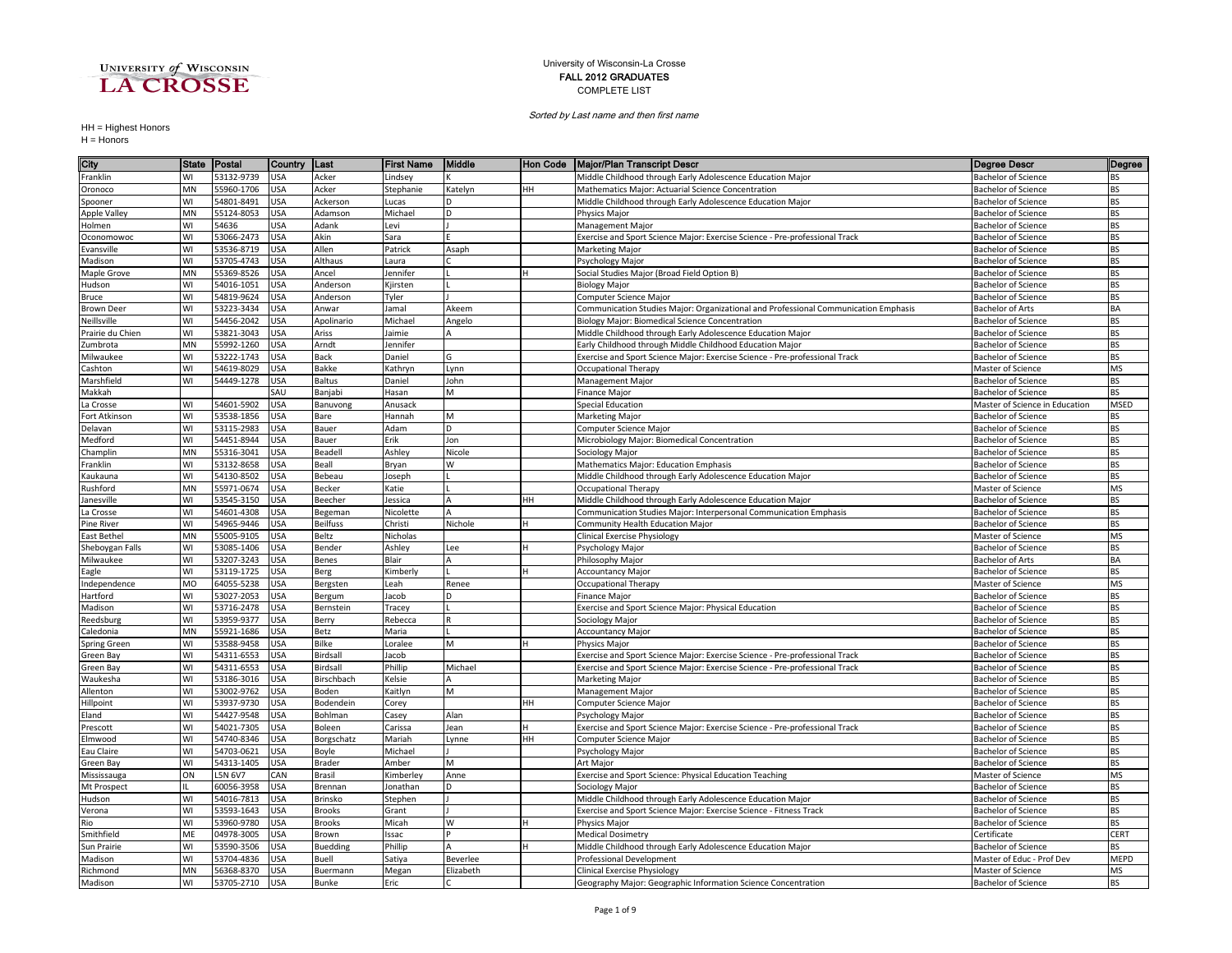

## University of Wisconsin-La Crosse FALL 2012 GRADUATES COMPLETE LIST

Sorted by Last name and then first name

HH = Highest Honors H = Honors

| City                             | <b>State</b> | Postal                   | Country           | ∥Last                    | <b>First Name</b>   | Middle    | ∥Hon Code | <b>Major/Plan Transcript Descr</b>                                                  | <b>Degree Descr</b>                             | Degree                 |
|----------------------------------|--------------|--------------------------|-------------------|--------------------------|---------------------|-----------|-----------|-------------------------------------------------------------------------------------|-------------------------------------------------|------------------------|
| Franklin                         | WI           | 53132-9739               | <b>USA</b>        | Acker                    | Lindsey             |           |           | Middle Childhood through Early Adolescence Education Major                          | <b>Bachelor of Science</b>                      | BS                     |
| Oronoco                          | <b>MN</b>    | 55960-1706               | USA               | Acker                    | Stephanie           | Katelyn   | HH        | Mathematics Major: Actuarial Science Concentration                                  | <b>Bachelor of Science</b>                      | BS                     |
| Spooner                          | WI           | 54801-8491               | <b>JSA</b>        | Ackerson                 | ucas                | D         |           | Middle Childhood through Early Adolescence Education Major                          | Bachelor of Science                             | <b>BS</b>              |
| Apple Valley                     | <b>MN</b>    | 55124-8053               | <b>JSA</b>        | Adamson                  | Michael             | D         |           | Physics Major                                                                       | Bachelor of Science                             | <b>BS</b>              |
| Holmen                           | WI           | 54636                    | <b>JSA</b>        | Adank                    | Levi                |           |           | <b>Management Major</b>                                                             | <b>Bachelor of Science</b>                      | <b>BS</b>              |
| Oconomowoc                       | WI           | 53066-2473               | <b>USA</b>        | Akin                     | Sara                |           |           | Exercise and Sport Science Major: Exercise Science - Pre-professional Track         | Bachelor of Science                             | <b>BS</b>              |
| Evansville                       | WI           | 53536-8719               | JSA               | Allen                    | Patrick             | Asaph     |           | Marketing Major                                                                     | <b>Bachelor of Science</b>                      | <b>BS</b>              |
| Madison                          | WI           | 53705-4743               | JSA               | Althaus                  | Laura               |           |           | Psychology Major                                                                    | Bachelor of Science                             | BS                     |
| Maple Grove                      | <b>MN</b>    | 55369-8526               | JSA               | Ancel                    | Jennifer            |           |           | Social Studies Major (Broad Field Option B)                                         | Bachelor of Science                             | BS                     |
| Hudson                           | WI           | 54016-1051               | USA               | Anderson                 | Kjirsten            |           |           | <b>Biology Major</b>                                                                | <b>Bachelor of Science</b>                      | <b>BS</b>              |
| Bruce                            | WI           | 54819-9624               | <b>JSA</b>        | Anderson                 | Tyler               |           |           | Computer Science Major                                                              | <b>Bachelor of Science</b>                      | <b>BS</b>              |
| <b>Brown Deer</b>                | WI           | 53223-3434               | <b>JSA</b>        | Anwar                    | Jamal               | Akeem     |           | Communication Studies Major: Organizational and Professional Communication Emphasis | <b>Bachelor of Arts</b>                         | BA                     |
| Neillsville                      | WI           | 54456-2042               | USA               | Apolinario               | Michael             | Angelo    |           | Biology Major: Biomedical Science Concentration                                     | <b>Bachelor of Science</b>                      | <b>BS</b>              |
| Prairie du Chien                 | WI           | 53821-3043               | JSA               | Ariss                    | Jaimie              | A         |           | Middle Childhood through Early Adolescence Education Major                          | <b>Bachelor of Science</b>                      | <b>BS</b>              |
| Zumbrota                         | MN           | 55992-1260               | <b>JSA</b>        | Arndt                    | Jennifer            |           |           | Early Childhood through Middle Childhood Education Major                            | <b>Bachelor of Science</b>                      | <b>BS</b>              |
| Milwaukee                        | WI           | 53222-1743               | JSA               | Back                     | Daniel              | G         |           | Exercise and Sport Science Major: Exercise Science - Pre-professional Track         | Bachelor of Science                             | <b>BS</b>              |
| Cashton                          | WI           | 54619-8029               | USA               | Bakke                    | Kathryn             | Lynn      |           | Occupational Therapy                                                                | Master of Science                               | <b>MS</b>              |
| Marshfield                       | WI           | 54449-1278               | JSA               | Baltus                   | Daniel              | John      |           | Management Major                                                                    | <b>Bachelor of Science</b>                      | BS                     |
| Makkah                           |              |                          | SAU               | Banjabi                  | Hasan               | M         |           | Finance Major                                                                       | <b>Bachelor of Science</b>                      | <b>BS</b>              |
| La Crosse                        | WI           | 54601-5902               | <b>JSA</b>        | Banuvong                 | Anusack             |           |           | <b>Special Education</b>                                                            | Master of Science in Education                  | MSED                   |
| Fort Atkinson                    | WI           | 53538-1856               | JSA               | Bare                     | Hannah              | M         |           | Marketing Major                                                                     | <b>Bachelor of Science</b>                      | <b>BS</b>              |
| Delavan                          | WI           | 53115-2983               | <b>JSA</b>        | Bauer                    | Adam                | D         |           | Computer Science Major                                                              | Bachelor of Science                             | <b>BS</b>              |
| Medford                          | WI           | 54451-8944               | JSA               | Bauer                    | Erik                | Jon       |           | Microbiology Major: Biomedical Concentration                                        | <b>Bachelor of Science</b>                      | <b>BS</b>              |
| Champlin                         | MN           | 55316-3041               | <b>JSA</b>        | Beadel                   | Ashley              | Nicole    |           | Sociology Major                                                                     | Bachelor of Science                             | <b>BS</b>              |
| Franklin                         | WI           | 53132-8658               | JSA               | Beall                    | Bryan               | W         |           | Mathematics Major: Education Emphasis                                               | Bachelor of Science                             | <b>BS</b>              |
| Kaukauna                         | WI           | 54130-8502               | <b>JSA</b>        | Bebeau                   | Joseph              |           |           | Middle Childhood through Early Adolescence Education Major                          | Bachelor of Science                             | <b>BS</b>              |
| Rushford                         | <b>MN</b>    | 55971-0674               | JSA               | Becker                   | Katie               |           |           | Occupational Therapy                                                                | Master of Science                               | <b>MS</b>              |
| Janesville                       | WI           | 53545-3150               | JSA               | Beecher                  | Jessica             | А         | HH        | Middle Childhood through Early Adolescence Education Major                          | <b>Bachelor of Science</b>                      | <b>BS</b>              |
| La Crosse                        | WI           | 54601-4308               | <b>JSA</b>        | Begeman                  | Nicolette           |           |           | Communication Studies Major: Interpersonal Communication Emphasis                   | <b>Bachelor of Science</b>                      | <b>BS</b>              |
| <b>Pine River</b><br>East Bethel | WI<br>MN     | 54965-9446<br>55005-9105 | <b>JSA</b><br>JSA | <b>Beilfuss</b><br>Beltz | Christi<br>Nicholas | Nichole   | H         | Community Health Education Major<br>Clinical Exercise Physiology                    | <b>Bachelor of Science</b><br>Master of Science | <b>BS</b><br><b>MS</b> |
| Sheboygan Falls                  | WI           | 53085-1406               | JSA               | Bender                   | Ashley              | Lee       |           | Psychology Major                                                                    | <b>Bachelor of Science</b>                      | BS                     |
| Milwaukee                        | WI           | 53207-3243               | <b>JSA</b>        | Benes                    | Blair               |           |           | Philosophy Major                                                                    | <b>Bachelor of Arts</b>                         | BA                     |
| Eagle                            | WI           | 53119-1725               | JSA               | Berg                     | Kimberly            |           | н         | <b>Accountancy Major</b>                                                            | <b>Bachelor of Science</b>                      | <b>BS</b>              |
| Independence                     | MO           | 64055-5238               | <b>JSA</b>        | Bergsten                 | Leah                | Renee     |           | <b>Occupational Therapy</b>                                                         | Master of Science                               | <b>MS</b>              |
| Hartford                         | WI           | 53027-2053               | JSA               | Bergum                   | Jacob               | D         |           | Finance Major                                                                       | <b>Bachelor of Science</b>                      | BS                     |
| Madison                          | WI           | 53716-2478               | JSA               | Bernstein                | Tracey              |           |           | Exercise and Sport Science Major: Physical Education                                | <b>Bachelor of Science</b>                      | <b>BS</b>              |
| Reedsburg                        | WI           | 53959-9377               | USA               | Berry                    | Rebecca             |           |           | Sociology Major                                                                     | <b>Bachelor of Science</b>                      | <b>BS</b>              |
| Caledonia                        | <b>MN</b>    | 55921-1686               | <b>JSA</b>        | Betz                     | Maria               |           |           | <b>Accountancy Major</b>                                                            | Bachelor of Science                             | <b>BS</b>              |
| Spring Green                     | WI           | 53588-9458               | <b>JSA</b>        | <b>Bilke</b>             | Loralee             | M         |           | Physics Major                                                                       | Bachelor of Science                             | <b>BS</b>              |
| Green Bay                        | WI           | 54311-6553               | JSA               | Birdsal                  | Jacob               |           |           | Exercise and Sport Science Major: Exercise Science - Pre-professional Track         | <b>Bachelor of Science</b>                      | <b>BS</b>              |
| Green Bay                        | WI           | 54311-6553               | <b>JSA</b>        | Birdsal                  | Phillip             | Michael   |           | Exercise and Sport Science Major: Exercise Science - Pre-professional Track         | Bachelor of Science                             | <b>BS</b>              |
| Waukesha                         | WI           | 53186-3016               | <b>USA</b>        | Birschbach               | Kelsie              |           |           | Marketing Major                                                                     | Bachelor of Science                             | <b>BS</b>              |
| Allenton                         | WI           | 53002-9762               | USA               | Boden                    | Kaitlyn             | M         |           | Management Major                                                                    | <b>Bachelor of Science</b>                      | <b>BS</b>              |
| Hillpoint                        | WI           | 53937-9730               | USA               | Bodendein                | Corey               |           | HH        | Computer Science Major                                                              | <b>Bachelor of Science</b>                      | <b>BS</b>              |
| Eland                            | WI           | 54427-9548               | <b>JSA</b>        | Bohlman                  | Casey               | Alan      |           | Psychology Major                                                                    | <b>Bachelor of Science</b>                      | <b>BS</b>              |
| Prescott                         | WI           | 54021-7305               | <b>JSA</b>        | Boleen                   | Carissa             | Jean      | H         | Exercise and Sport Science Major: Exercise Science - Pre-professional Track         | <b>Bachelor of Science</b>                      | <b>BS</b>              |
| Elmwood                          | WI           | 54740-8346               | JSA               | Borgschatz               | Mariah              | Lynne     | HH        | Computer Science Major                                                              | <b>Bachelor of Science</b>                      | <b>BS</b>              |
| Eau Claire                       | WI           | 54703-0621               | <b>JSA</b>        | Boyle                    | Michael             |           |           | 'sychology Major                                                                    | Bachelor of Science                             | <b>BS</b>              |
| Green Bay                        | WI           | 54313-1405               | JSA               | Brader                   | Amber               | M         |           | Art Major                                                                           | Bachelor of Science                             | BS                     |
| Mississauga                      | ON           | L5N 6V7                  | AN <sub>2</sub>   | Brasil                   | Kimberley           | Anne      |           | Exercise and Sport Science: Physical Education Teaching                             | Master of Science                               | MS                     |
| Mt Prospect                      |              | 60056-3958               | <b>USA</b>        | Brennan                  | Jonathan            | D         |           | Sociology Major                                                                     | <b>Bachelor of Science</b>                      | <b>BS</b>              |
| Hudson                           | WI           | 54016-7813               | <b>JSA</b>        | Brinsko                  | Stephen             |           |           | Middle Childhood through Early Adolescence Education Major                          | <b>Bachelor of Science</b>                      | BS                     |
| Verona                           | WI           | 53593-1643               | JSA               | <b>Brooks</b>            | Grant               |           |           | Exercise and Sport Science Major: Exercise Science - Fitness Track                  | <b>Bachelor of Science</b>                      | BS                     |
| Rio                              | WI           | 53960-9780               | <b>JSA</b>        | <b>Brooks</b>            | Micah               | W         | H         | Physics Major                                                                       | <b>Bachelor of Science</b>                      | <b>BS</b>              |
| Smithfield                       | ME           | 04978-3005               | JSA               | Brown                    | Issac               |           |           | <b>Medical Dosimetry</b>                                                            | Certificate                                     | <b>CERT</b>            |
| Sun Prairie                      | WI           | 53590-3506               | JSA               | Buedding                 | Phillip             |           |           | Middle Childhood through Early Adolescence Education Major                          | <b>Bachelor of Science</b>                      | R٢                     |
| Madison                          | WI           | 53704-4836               | <b>JSA</b>        | Buell                    | Satiya              | Beverlee  |           | Professional Development                                                            | Master of Educ - Prof Dev                       | <b>MEPD</b>            |
| Richmond                         | <b>MN</b>    | 56368-8370               | USA               | Buermann                 | Megan               | Elizabeth |           | Clinical Exercise Physiology                                                        | Master of Science                               | MS                     |
| Madison                          | WI           | 53705-2710               | USA               | Bunke                    | Eric                |           |           | Geography Major: Geographic Information Science Concentration                       | <b>Bachelor of Science</b>                      | <b>BS</b>              |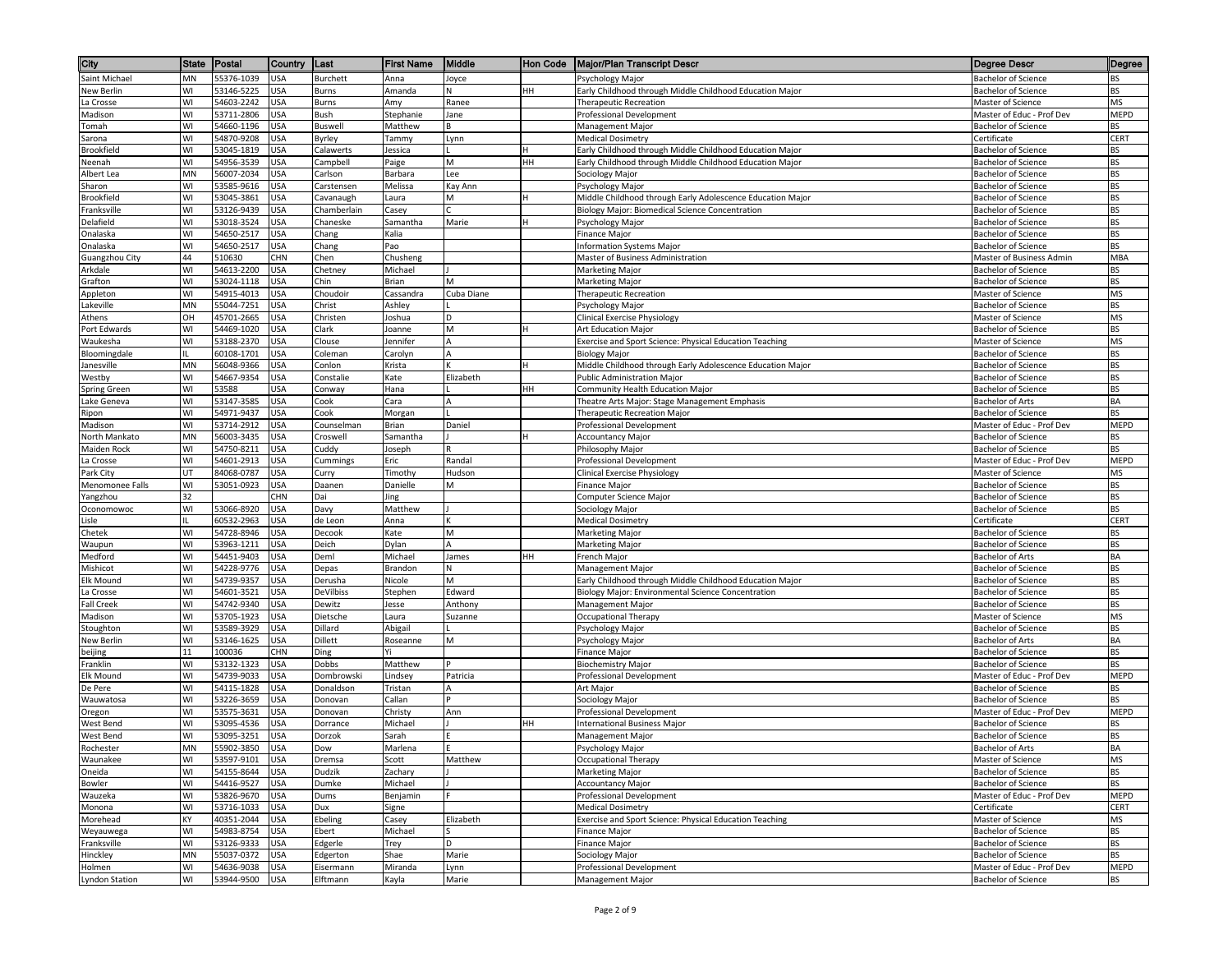| City                        | State    | Postal                   | Country                  | ∥Last               | <b>First Name</b>   | Middle      | <b>Hon Code</b> | <b>Major/Plan Transcript Descr</b>                                          | Degree Descr                                             | Degree      |
|-----------------------------|----------|--------------------------|--------------------------|---------------------|---------------------|-------------|-----------------|-----------------------------------------------------------------------------|----------------------------------------------------------|-------------|
| Saint Michael               | MN       | 55376-1039               | <b>USA</b>               | <b>Burchett</b>     | Anna                | Joyce       |                 | Psychology Major                                                            | <b>Bachelor of Science</b>                               | ВS          |
| New Berlin                  | W١       | 53146-5225               | USA                      | Burns               | Amanda              | N           | HН              | Early Childhood through Middle Childhood Education Major                    | <b>Bachelor of Science</b>                               | ВS          |
| La Crosse                   | WI       | 54603-2242               | USA                      | Burns               | Amy                 | Ranee       |                 | <b>Therapeutic Recreation</b>                                               | Master of Science                                        | MS          |
| Madison                     | WI       | 53711-2806               | USA                      | Bush                | Stephanie           | Jane        |                 | Professional Development                                                    | Master of Educ - Prof Dev                                | MEPD        |
| Tomah                       | WI       | 54660-1196               | JSA                      | Buswell             | Matthew             |             |                 | Management Major                                                            | <b>Bachelor of Science</b>                               | BS          |
| Sarona                      | WI       | 54870-9208               | JSA                      | Byrley              | Tammy               | Lynn        |                 | <b>Medical Dosimetry</b>                                                    | Certificate                                              | CERT        |
| Brookfield                  | WI<br>WI | 53045-1819               | <b>USA</b>               | Calawerts           | Jessica             |             |                 | Early Childhood through Middle Childhood Education Major                    | <b>Bachelor of Science</b>                               | BS          |
| Neenah<br>Albert Lea        | MN       | 54956-3539<br>56007-2034 | USA<br><b>USA</b>        | Campbell<br>Carlson | Paige<br>Barbara    | M<br>Lee    | HH              | Early Childhood through Middle Childhood Education Major<br>Sociology Major | <b>Bachelor of Science</b><br><b>Bachelor of Science</b> | BS<br>BS    |
| Sharon                      | WI       | 53585-9616               | USA                      | Carstensen          | Melissa             | Kay Ann     |                 | Psychology Major                                                            | <b>Bachelor of Science</b>                               | BS          |
| Brookfield                  | WI       | 53045-3861               | USA                      | Cavanaugh           | Laura               | M           |                 | Middle Childhood through Early Adolescence Education Major                  | <b>Bachelor of Science</b>                               | BS          |
| Franksville                 | WI       | 53126-9439               | USA                      | Chamberlain         | Casey               |             |                 | Biology Major: Biomedical Science Concentration                             | <b>Bachelor of Science</b>                               | BS          |
| Delafield                   | WI       | 53018-3524               | JSA                      | Chaneske            | Samantha            | Marie       |                 | Psychology Major                                                            | Bachelor of Science                                      | ВS          |
| Onalaska                    | WI       | 54650-2517               | USA                      | Chang               | Kalia               |             |                 | Finance Major                                                               | <b>Bachelor of Science</b>                               | BS          |
| Onalaska                    | WI       | 54650-2517               | <b>USA</b>               | Chang               | Pao                 |             |                 | <b>Information Systems Major</b>                                            | <b>Bachelor of Science</b>                               | <b>BS</b>   |
| Guangzhou City              | 44       | 510630                   | CHN                      | Chen                | Chusheng            |             |                 | Master of Business Administration                                           | Master of Business Admin                                 | MBA         |
| Arkdale                     | WI       | 54613-2200               | USA                      | Chetney             | Michael             |             |                 | Marketing Major                                                             | <b>Bachelor of Science</b>                               | BS          |
| Grafton                     | WI       | 53024-1118               | <b>USA</b>               | Chin                | Brian               | M           |                 | Marketing Major                                                             | <b>Bachelor of Science</b>                               | BS          |
| Appleton                    | WI       | 54915-4013               | USA                      | Choudoir            | Cassandra           | Cuba Diane  |                 | <b>Therapeutic Recreation</b>                                               | Master of Science                                        | MS          |
| akeville.                   | MN       | 55044-7251               | JSA                      | Christ              | Ashley              | D           |                 | Psychology Major                                                            | <b>Bachelor of Science</b>                               | ВS          |
| Athens<br>Port Edwards      | OH<br>WI | 45701-2665<br>54469-1020 | JSA<br>USA               | Christen<br>Clark   | Joshua<br>Joanne    | M           |                 | Clinical Exercise Physiology<br>Art Education Major                         | Master of Science<br><b>Bachelor of Science</b>          | MS<br>BS    |
| Waukesha                    | WI       | 53188-2370               | <b>USA</b>               | Clouse              | Jennifer            |             |                 | Exercise and Sport Science: Physical Education Teaching                     | Master of Science                                        | MS          |
| Bloomingdale                |          | 60108-1701               | USA                      | Coleman             | Carolyn             | A           |                 | <b>Biology Major</b>                                                        | <b>Bachelor of Science</b>                               | BS          |
| Janesville                  | MN       | 56048-9366               | <b>USA</b>               | Conlon              | Krista              |             |                 | Middle Childhood through Early Adolescence Education Major                  | <b>Bachelor of Science</b>                               | BS          |
| Westby                      | WI       | 54667-9354               | USA                      | Constalie           | Kate                | Elizabeth   |                 | Public Administration Major                                                 | <b>Bachelor of Science</b>                               | BS          |
| Spring Green                | WI       | 53588                    | USA                      | Conway              | Hana                |             | HH              | Community Health Education Major                                            | <b>Bachelor of Science</b>                               | ВS          |
| Lake Geneva                 | WI       | 53147-3585               | <b>USA</b>               | Cook                | Cara                |             |                 | Theatre Arts Major: Stage Management Emphasis                               | <b>Bachelor of Arts</b>                                  | BA          |
| Ripon                       | WI       | 54971-9437               | USA                      | Cook                | Morgan              |             |                 | Therapeutic Recreation Major                                                | <b>Bachelor of Science</b>                               | ВS          |
| Madison                     | WI       | 53714-2912               | JSA                      | Counselman          | Brian               | Daniel      |                 | Professional Development                                                    | Master of Educ - Prof Dev                                | <b>MEPD</b> |
| North Mankato               | MN       | 56003-3435               | USA                      | Croswell            | Samantha            |             |                 | <b>Accountancy Major</b>                                                    | <b>Bachelor of Science</b>                               | BS          |
| <b>Maiden Rock</b>          | WI       | 54750-8211               | <b>USA</b>               | Cuddy               | Joseph              |             |                 | Philosophy Major                                                            | <b>Bachelor of Science</b>                               | BS          |
| La Crosse                   | WI       | 54601-2913               | USA                      | Cummings            | Eric                | Randal      |                 | Professional Development                                                    | Master of Educ - Prof Dev                                | MEPD        |
| Park City                   | UT<br>WI | 84068-0787               | USA                      | Curry               | Timothy             | Hudson<br>M |                 | Clinical Exercise Physiology                                                | Master of Science<br><b>Bachelor of Science</b>          | ΜS<br>BS    |
| Menomonee Falls<br>Yangzhou | 32       | 53051-0923               | USA<br>CHN               | Daanen<br>Dai       | Danielle<br>Jing    |             |                 | Finance Major<br>Computer Science Major                                     | <b>Bachelor of Science</b>                               | BS          |
| Oconomowoc                  | WI       | 53066-8920               | USA                      | Davy                | Matthew             |             |                 | Sociology Major                                                             | Bachelor of Science                                      | BS          |
| Lisle                       |          | 60532-2963               | JSA                      | de Leon             | Anna                |             |                 | Medical Dosimetry                                                           | Certificate                                              | CERT        |
| Chetek                      | WI       | 54728-8946               | JSA                      | Decook              | Kate                | M           |                 | Marketing Major                                                             | <b>Bachelor of Science</b>                               | BS          |
| Waupun                      | WI       | 53963-1211               | <b>JSA</b>               | Deich               | Dylan               | A           |                 | Marketing Major                                                             | <b>Bachelor of Science</b>                               | BS          |
| Medford                     | WI       | 54451-9403               | JSA                      | Deml                | Michael             | James       | HH              | French Major                                                                | <b>Bachelor of Arts</b>                                  | BA          |
| Mishicot                    | WI       | 54228-9776               | USA                      | Depas               | Brandon             | N.          |                 | Management Major                                                            | <b>Bachelor of Science</b>                               | BS          |
| Elk Mound                   | WI       | 54739-9357               | USA                      | Derusha             | Nicole              | M           |                 | Early Childhood through Middle Childhood Education Major                    | Bachelor of Science                                      | BS          |
| a Crosse                    | WI       | 54601-3521               | USA                      | <b>DeVilbiss</b>    | Stephen             | Edward      |                 | Biology Major: Environmental Science Concentration                          | Bachelor of Science                                      | BS          |
| <b>Fall Creek</b>           | WI       | 54742-9340               | USA                      | Dewitz              | Jesse               | Anthony     |                 | Management Major                                                            | Bachelor of Science                                      | ВS          |
| Madison                     | WI<br>WI | 53705-1923               | JSA                      | Dietsche            | Laura               | Suzanne     |                 | Occupational Therapy                                                        | Master of Science                                        | MS          |
| Stoughton<br>New Berlin     | WI       | 53589-3929<br>53146-1625 | USA<br><b>USA</b>        | Dillard<br>Dillett  | Abigail<br>Roseanne | M           |                 | Psychology Major<br>Psychology Major                                        | <b>Bachelor of Science</b><br><b>Bachelor of Arts</b>    | ВS<br>BA    |
| beijing                     | 11       | 100036                   | CHN                      | Ding                | Yi                  |             |                 | Finance Major                                                               | <b>Bachelor of Science</b>                               | BS          |
| Franklin                    | WI       | 53132-1323               | USA                      | Dobbs               | Matthew             |             |                 | <b>Biochemistry Major</b>                                                   | <b>Bachelor of Science</b>                               | <b>BS</b>   |
| Elk Mound                   | WI       | 54739-9033               | USA                      | Dombrowski          | Lindsey             | Patricia    |                 | Professional Development                                                    | Master of Educ - Prof Dev                                | MEPD        |
| De Pere                     | WI       | 54115-1828               | USA                      | Donaldson           | Tristan             |             |                 | Art Major                                                                   | Bachelor of Science                                      | ВS          |
| Wauwatosa                   | WI       | 53226-3659               | USA                      | Donovan             | Callan              |             |                 | Sociology Major                                                             | <b>Bachelor of Science</b>                               | BS          |
| Oregon                      | WI       | 53575-3631               | USA                      | Donovan             | Christy             | Ann         |                 | Professional Development                                                    | Master of Educ - Prof Dev                                | MEPD        |
| West Bend                   | WI       | 53095-4536               | USA                      | Dorrance            | Michael             |             | HH              | nternational Business Major                                                 | <b>Bachelor of Science</b>                               | BS          |
| West Bend                   | WI       | 53095-3251               | USA                      | Dorzok              | Sarah               |             |                 | Management Major                                                            | Bachelor of Science                                      | ВS          |
| Rochester                   | MN       | 55902-3850               | <b>USA</b>               | Dow                 | Marlena             |             |                 | Psychology Major                                                            | <b>Bachelor of Arts</b>                                  | BA          |
| Waunakee                    | WI<br>WI | 53597-9101               | <b>USA</b>               | Dremsa              | Scott               | Matthew     |                 | Occupational Therapy                                                        | Master of Science<br><b>Bachelor of Science</b>          | MS<br>BS    |
| Oneida<br>Bowler            | WI       | 54155-8644<br>54416-9527 | <b>USA</b><br><b>USA</b> | Dudzik<br>Dumke     | Zachary<br>Michael  |             |                 | Marketing Major<br><b>Accountancy Major</b>                                 | <b>Bachelor of Science</b>                               | BS          |
| Wauzeka                     | WI       | 53826-9670               | USA                      | Dums                | Benjamin            |             |                 | Professional Development                                                    | Master of Educ - Prof Dev                                | MEPD        |
| Monona                      | WI       | 53716-1033               | JSA                      | Dux                 | Signe               |             |                 | <b>Medical Dosimetry</b>                                                    | Certificate                                              | CERT        |
| Morehead                    | KY       | 40351-2044               | JSA                      | Ebeling             | Casey               | Elizabeth   |                 | Exercise and Sport Science: Physical Education Teaching                     | Master of Science                                        | ΜS          |
| Weyauwega                   | WI       | 54983-8754               | USA                      | Ebert               | Michael             |             |                 | Finance Major                                                               | <b>Bachelor of Science</b>                               | BS          |
| Franksville                 | W١       | 53126-9333               | USA                      | Edgerle             | Trey                | D           |                 | <b>Finance Major</b>                                                        | <b>Bachelor of Science</b>                               | BS          |
| Hinckley                    | MN       | 55037-0372               | USA                      | Edgerton            | Shae                | Marie       |                 | Sociology Major                                                             | <b>Bachelor of Science</b>                               | BS          |
| Holmen                      | WI       | 54636-9038               | <b>USA</b>               | Eisermann           | Miranda             | Lynn        |                 | Professional Development                                                    | Master of Educ - Prof Dev                                | MEPD        |
| <b>Lyndon Station</b>       | W١       | 53944-9500               | <b>USA</b>               | Elftmann            | Kayla               | Marie       |                 | Management Major                                                            | <b>Bachelor of Science</b>                               | BS          |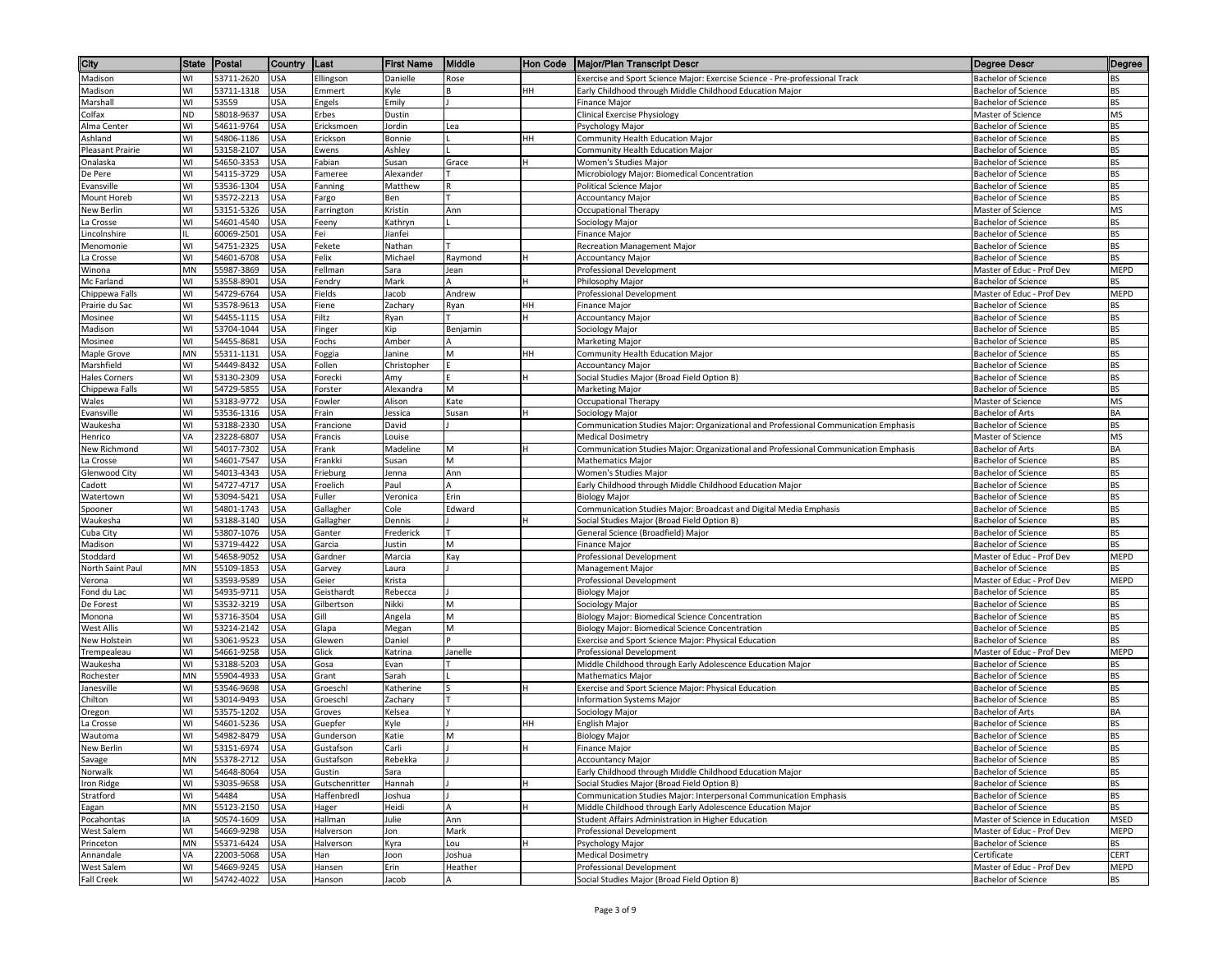| City                       | <b>State</b> | Postal                   | Country                  | ∥Last                    | <b>First Name</b>  | Middle    | ∥Hon Code | <b>Major/Plan Transcript Descr</b>                                                                                              | <b>Degree Descr</b>                                      | Degree                 |
|----------------------------|--------------|--------------------------|--------------------------|--------------------------|--------------------|-----------|-----------|---------------------------------------------------------------------------------------------------------------------------------|----------------------------------------------------------|------------------------|
| Madison                    | WI           | 53711-2620               | <b>USA</b>               | Ellingson                | Danielle           | Rose      |           | Exercise and Sport Science Major: Exercise Science - Pre-professional Track                                                     | <b>Bachelor of Science</b>                               | BS                     |
| Madison                    | WI           | 53711-1318               | <b>USA</b>               | Emmert                   | Kyle               |           | HН        | Early Childhood through Middle Childhood Education Major                                                                        | <b>Bachelor of Science</b>                               | BS                     |
| Marshall                   | WI           | 53559                    | <b>USA</b>               | Engels                   | Emily              |           |           | Finance Major                                                                                                                   | <b>Bachelor of Science</b>                               | <b>BS</b>              |
| Colfax                     | <b>ND</b>    | 58018-9637               | <b>USA</b>               | Erbes                    | Dustin             |           |           | Clinical Exercise Physiology                                                                                                    | Master of Science                                        | MS                     |
| Alma Center                | WI           | 54611-9764               | USA                      | Ericksmoen               | Jordin             | Lea       |           | Psychology Major                                                                                                                | Bachelor of Science                                      | <b>BS</b>              |
| Ashland                    | WI           | 54806-1186               | USA                      | Erickson                 | Bonnie             |           | HН        | Community Health Education Major                                                                                                | <b>Bachelor of Science</b>                               | BS                     |
| Pleasant Prairie           | WI           | 53158-2107               | USA                      | Ewens                    | Ashley             |           |           | Community Health Education Major                                                                                                | <b>Bachelor of Science</b>                               | <b>BS</b>              |
| Onalaska<br>De Pere        | WI<br>WI     | 54650-3353<br>54115-3729 | <b>USA</b><br>USA        | Fabian<br>Fameree        | Susan<br>Alexander | Grace     |           | Women's Studies Major<br>Microbiology Major: Biomedical Concentration                                                           | <b>Bachelor of Science</b><br><b>Bachelor of Science</b> | BS<br>BS               |
| Evansville                 | WI           | 53536-1304               | <b>USA</b>               | Fanning                  | Matthew            | R         |           | Political Science Major                                                                                                         | <b>Bachelor of Science</b>                               | <b>BS</b>              |
| Mount Horeb                | WI           | 53572-2213               | <b>USA</b>               | Fargo                    | Ben                |           |           | <b>Accountancy Major</b>                                                                                                        | <b>Bachelor of Science</b>                               | <b>BS</b>              |
| New Berlin                 | WI           | 53151-5326               | <b>USA</b>               | Farrington               | Kristin            | Ann       |           | <b>Occupational Therapy</b>                                                                                                     | Master of Science                                        | MS                     |
| La Crosse                  | WI           | 54601-4540               | USA                      | Feeny                    | Kathryn            |           |           | Sociology Major                                                                                                                 | <b>Bachelor of Science</b>                               | BS                     |
| Lincolnshire               |              | 60069-2501               | USA                      | Fei                      | Jianfei            |           |           | <b>Finance Major</b>                                                                                                            | <b>Bachelor of Science</b>                               | <b>BS</b>              |
| Menomonie                  | WI           | 54751-2325               | USA                      | Fekete                   | Nathan             |           |           | Recreation Management Major                                                                                                     | Bachelor of Science                                      | BS                     |
| La Crosse                  | WI           | 54601-6708               | USA                      | Felix                    | Michael            | Raymond   |           | <b>Accountancy Major</b>                                                                                                        | <b>Bachelor of Science</b>                               | <b>BS</b>              |
| Winona                     | MN           | 55987-3869               | USA                      | Fellman                  | Sara               | Jean      |           | Professional Development                                                                                                        | Master of Educ - Prof Dev                                | MEPD                   |
| Mc Farland                 | WI           | 53558-8901               | USA                      | Fendry                   | Mark               | А         |           | Philosophy Major                                                                                                                | <b>Bachelor of Science</b>                               | BS                     |
| Chippewa Falls             | WI           | 54729-6764               | USA                      | Fields                   | Jacob              | Andrew    |           | Professional Development                                                                                                        | Master of Educ - Prof Dev                                | MEPD                   |
| Prairie du Sac             | WI           | 53578-9613               | <b>USA</b>               | Fiene                    | Zachary            | Ryan      | HН        | Finance Major                                                                                                                   | <b>Bachelor of Science</b>                               | BS                     |
| Mosinee<br>Madison         | WI<br>WI     | 54455-1115<br>53704-1044 | USA<br><b>USA</b>        | Filtz<br>Finger          | Ryan<br>Kip        | Benjamin  |           | <b>Accountancy Major</b>                                                                                                        | Bachelor of Science<br><b>Bachelor of Science</b>        | <b>BS</b><br>BS        |
| Mosinee                    | WI           | 54455-8681               | USA                      | Fochs                    | Amber              |           |           | Sociology Major<br>Marketing Major                                                                                              | <b>Bachelor of Science</b>                               | <b>BS</b>              |
| Maple Grove                | MN           | 55311-1131               | USA                      | Foggia                   | Janine             | M         | HН        | Community Health Education Major                                                                                                | Bachelor of Science                                      | BS                     |
| Marshfield                 | WI           | 54449-8432               | USA                      | Follen                   | Christopher        |           |           | <b>Accountancy Major</b>                                                                                                        | <b>Bachelor of Science</b>                               | <b>BS</b>              |
| <b>Hales Corners</b>       | WI           | 53130-2309               | USA                      | Forecki                  | Amy                |           |           | Social Studies Major (Broad Field Option B)                                                                                     | <b>Bachelor of Science</b>                               | BS                     |
| Chippewa Falls             | WI           | 54729-5855               | USA                      | Forster                  | Alexandra          | M         |           | <b>Marketing Major</b>                                                                                                          | <b>Bachelor of Science</b>                               | BS                     |
| Wales                      | WI           | 53183-9772               | USA                      | Fowler                   | Alison             | Kate      |           | Occupational Therapy                                                                                                            | Master of Science                                        | MS                     |
| Evansville                 | WI           | 53536-1316               | USA                      | Frain                    | Jessica            | Susan     |           | Sociology Major                                                                                                                 | <b>Bachelor of Arts</b>                                  | BA                     |
| Waukesha                   | WI           | 53188-2330               | USA                      | Francione                | David              |           |           | Communication Studies Major: Organizational and Professional Communication Emphasis                                             | <b>Bachelor of Science</b>                               | <b>BS</b>              |
| Henrico                    | VA           | 23228-6807               | USA                      | Francis                  | Louise             |           |           | <b>Medical Dosimetry</b>                                                                                                        | Master of Science                                        | MS                     |
| New Richmond               | WI           | 54017-7302               | USA                      | Frank                    | Madeline           | M         |           | Communication Studies Major: Organizational and Professional Communication Emphasis                                             | Bachelor of Arts                                         | BA                     |
| La Crosse                  | WI           | 54601-7547               | <b>USA</b>               | Frankki                  | Susan              | M         |           | <b>Mathematics Major</b>                                                                                                        | <b>Bachelor of Science</b>                               | BS                     |
| Glenwood City              | WI           | 54013-4343               | USA                      | Frieburg                 | Jenna              | Ann       |           | Women's Studies Major                                                                                                           | <b>Bachelor of Science</b>                               | BS                     |
| Cadott                     | WI<br>WI     | 54727-4717<br>53094-5421 | <b>USA</b><br><b>USA</b> | Froelich<br>Fuller       | Paul<br>Veronica   | A<br>Erin |           | Early Childhood through Middle Childhood Education Major                                                                        | Bachelor of Science<br><b>Bachelor of Science</b>        | <b>BS</b><br><b>BS</b> |
| Watertown<br>Spooner       | WI           | 54801-1743               | <b>USA</b>               | Gallagher                | Cole               | Edward    |           | <b>Biology Major</b><br>Communication Studies Major: Broadcast and Digital Media Emphasis                                       | <b>Bachelor of Science</b>                               | <b>BS</b>              |
| Waukesha                   | WI           | 53188-3140               | USA                      | Gallagher                | Dennis             |           |           | Social Studies Major (Broad Field Option B)                                                                                     | <b>Bachelor of Science</b>                               | ВS                     |
| Cuba City                  | WI           | 53807-1076               | USA                      | Ganter                   | Frederick          |           |           | General Science (Broadfield) Major                                                                                              | <b>Bachelor of Science</b>                               | BS                     |
| Madison                    | WI           | 53719-4422               | USA                      | Garcia                   | Justin             | M         |           | <b>Finance Major</b>                                                                                                            | <b>Bachelor of Science</b>                               | <b>BS</b>              |
| Stoddard                   | WI           | 54658-9052               | USA                      | Gardner                  | Marcia             | Kay       |           | Professional Development                                                                                                        | Master of Educ - Prof Dev                                | MEPD                   |
| North Saint Paul           | <b>MN</b>    | 55109-1853               | USA                      | Garvey                   | Laura              |           |           | Management Major                                                                                                                | <b>Bachelor of Science</b>                               | <b>BS</b>              |
| Verona                     | WI           | 53593-9589               | USA                      | Geier                    | Krista             |           |           | Professional Development                                                                                                        | Master of Educ - Prof Dev                                | MEPD                   |
| Fond du Lac                | WI           | 54935-9711               | <b>USA</b>               | Geisthardt               | Rebecca            |           |           | <b>Biology Major</b>                                                                                                            | <b>Bachelor of Science</b>                               | BS                     |
| De Forest                  | WI           | 53532-3219               | <b>USA</b>               | Gilbertson               | Nikki              | М         |           | Sociology Major                                                                                                                 | <b>Bachelor of Science</b>                               | BS                     |
| Monona                     | WI           | 53716-3504               | USA                      | Gill                     | Angela             | M         |           | Biology Major: Biomedical Science Concentration                                                                                 | <b>Bachelor of Science</b>                               | <b>BS</b>              |
| West Allis<br>New Holstein | WI<br>WI     | 53214-2142<br>53061-9523 | USA<br>USA               | Glapa<br>Glewen          | Megan<br>Daniel    | M         |           | Biology Major: Biomedical Science Concentration<br>Exercise and Sport Science Major: Physical Education                         | <b>Bachelor of Science</b><br><b>Bachelor of Science</b> | BS<br><b>BS</b>        |
| Trempealeau                | WI           | 54661-9258               | USA                      | Glick                    | Katrina            | Janelle   |           | Professional Development                                                                                                        | Master of Educ - Prof Dev                                | MEPD                   |
| Waukesha                   | WI           | 53188-5203               | USA                      | Gosa                     | Evan               |           |           | Middle Childhood through Early Adolescence Education Major                                                                      | <b>Bachelor of Science</b>                               | <b>BS</b>              |
| Rochester                  | <b>MN</b>    | 55904-4933               | USA                      | Grant                    | Sarah              |           |           | <b>Mathematics Major</b>                                                                                                        | <b>Bachelor of Science</b>                               | BS                     |
| Janesville                 | WI           | 53546-9698               | USA                      | Groeschl                 | Katherine          |           |           | Exercise and Sport Science Major: Physical Education                                                                            | <b>Bachelor of Science</b>                               | BS                     |
| Chilton                    | WI           | 53014-9493               | USA                      | Groeschl                 | Zachary            |           |           | Information Systems Major                                                                                                       | <b>Bachelor of Science</b>                               | <b>BS</b>              |
| Oregon                     | WI           | 53575-1202               | <b>USA</b>               | Groves                   | Kelsea             |           |           | Sociology Major                                                                                                                 | Bachelor of Arts                                         | BA                     |
| La Crosse                  | WI           | 54601-5236               | USA                      | Guepfer                  | Kyle               |           | HН        | English Major                                                                                                                   | <b>Bachelor of Science</b>                               | BS                     |
| Wautoma                    | WI           | 54982-8479               | <b>USA</b>               | Gunderson                | Katie              | M         |           | <b>Biology Major</b>                                                                                                            | <b>Bachelor of Science</b>                               | BS                     |
| <b>New Berlin</b>          | WI           | 53151-6974               | <b>USA</b>               | Gustafson                | Carli              |           |           | <b>Finance Major</b>                                                                                                            | <b>Bachelor of Science</b>                               | <b>BS</b>              |
| Savage                     | MN           | 55378-2712 USA           |                          | Gustafson                | Rebekka            |           |           | <b>Accountancy Major</b>                                                                                                        | <b>Bachelor of Science</b>                               | BS                     |
| Norwalk                    | WI<br>WI     | 54648-8064<br>53035-9658 | <b>USA</b>               | Gustin<br>Gutschenritter | Sara<br>Hannah     |           |           | Early Childhood through Middle Childhood Education Major<br>Social Studies Major (Broad Field Option B)                         | <b>Bachelor of Science</b><br><b>Bachelor of Science</b> | BS<br><b>BS</b>        |
| Iron Ridge                 |              | 54484                    | USA                      |                          |                    |           |           |                                                                                                                                 |                                                          | BS                     |
| Stratford<br>Eagan         | WI<br>MN     | 55123-2150               | <b>USA</b><br><b>USA</b> | Haffenbredl<br>Hager     | Joshua<br>Heidi    | $\Delta$  |           | Communication Studies Major: Interpersonal Communication Emphasis<br>Middle Childhood through Early Adolescence Education Major | Bachelor of Science<br><b>Bachelor of Science</b>        | BS                     |
| Pocahontas                 | IA           | 50574-1609               | <b>USA</b>               | Hallman                  | Julie              | Ann       |           | Student Affairs Administration in Higher Education                                                                              | Master of Science in Education                           | MSED                   |
| West Salem                 | WI           | 54669-9298               | USA                      | Halverson                | Jon                | Mark      |           | Professional Development                                                                                                        | Master of Educ - Prof Dev                                | MEPD                   |
| Princeton                  | MN           | 55371-6424               | USA                      | Halverson                | Kyra               | Lou       |           | Psychology Major                                                                                                                | <b>Bachelor of Science</b>                               | BS                     |
| Annandale                  | VA           | 22003-5068               | <b>USA</b>               | Han                      | Joon               | Joshua    |           | <b>Medical Dosimetry</b>                                                                                                        | Certificate                                              | <b>CERT</b>            |
| West Salem                 | WI           | 54669-9245               | <b>USA</b>               | Hansen                   | Erin               | Heather   |           | Professional Development                                                                                                        | Master of Educ - Prof Dev                                | MEPD                   |
| Fall Creek                 | WI           | 54742-4022               | <b>USA</b>               | Hanson                   | Jacob              | A         |           | Social Studies Major (Broad Field Option B)                                                                                     | <b>Bachelor of Science</b>                               | BS                     |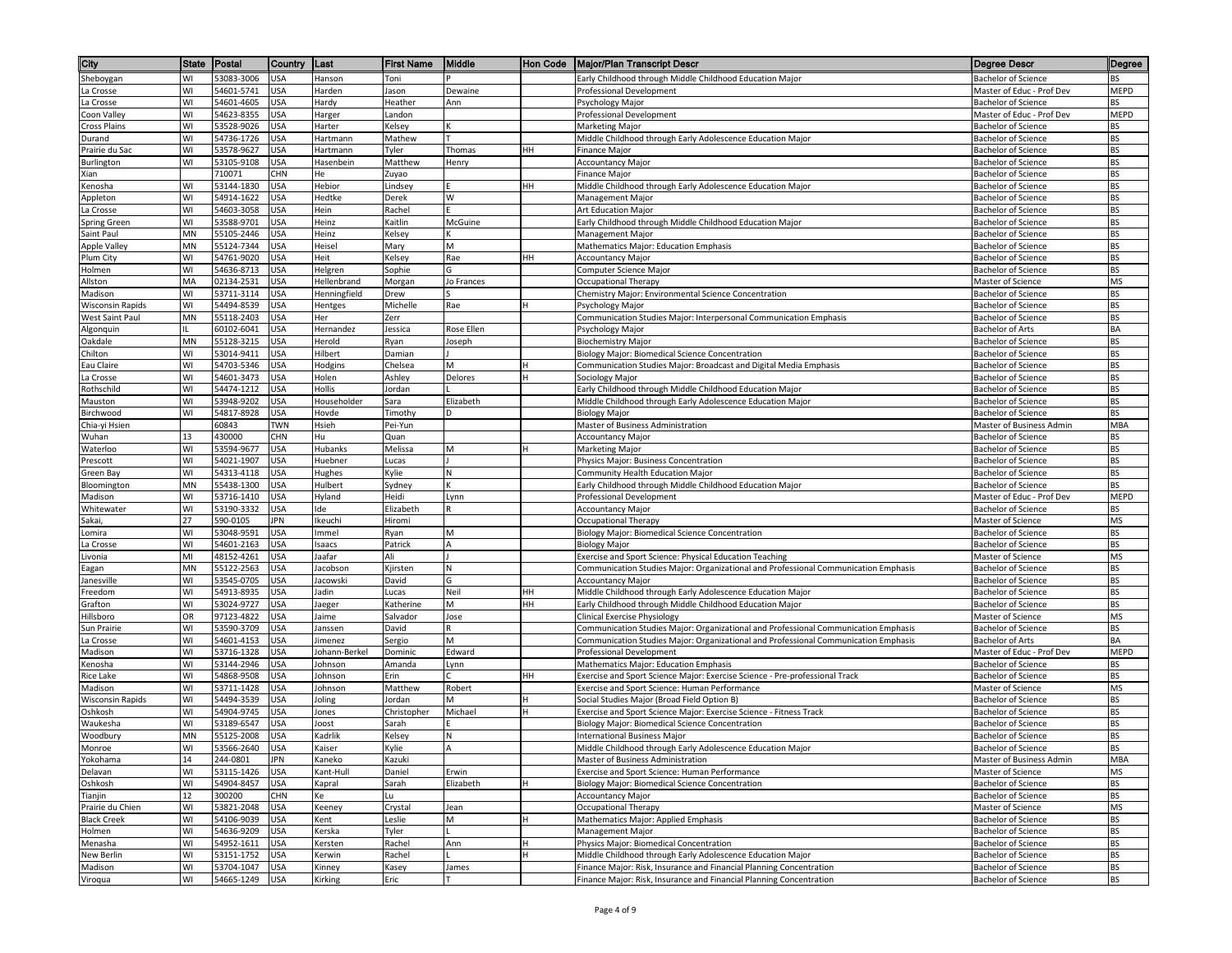| City                                       | <b>State</b> | Postal                   | Country                  | ∥Last             | <b>First Name</b> | Middle     | Hon Code | <b>Major/Plan Transcript Descr</b>                                                     | Degree Descr                                      | Degree          |
|--------------------------------------------|--------------|--------------------------|--------------------------|-------------------|-------------------|------------|----------|----------------------------------------------------------------------------------------|---------------------------------------------------|-----------------|
| Sheboygan                                  | WI           | 53083-3006               | <b>USA</b>               | Hanson            | Toni              |            |          | Early Childhood through Middle Childhood Education Major                               | <b>Bachelor of Science</b>                        | <b>BS</b>       |
| La Crosse                                  | WI           | 54601-5741               | <b>USA</b>               | Harden            | Jason             | Dewaine    |          | Professional Development                                                               | Master of Educ - Prof Dev                         | MEPD            |
| La Crosse                                  | WI           | 54601-4605               | <b>USA</b>               | Hardy             | Heather           | Ann        |          | Psychology Major                                                                       | <b>Bachelor of Science</b>                        | BS              |
| Coon Valley                                | WI           | 54623-8355               | <b>USA</b>               | Harger            | Landon            |            |          | Professional Development                                                               | Master of Educ - Prof Dev                         | MEPD            |
| <b>Cross Plains</b>                        | WI           | 53528-9026               | USA                      | Harter            | Kelsey            |            |          | Marketing Major                                                                        | <b>Bachelor of Science</b>                        | BS              |
| Durand                                     | WI           | 54736-1726               | USA                      | Hartmann          | Mathew            |            |          | Middle Childhood through Early Adolescence Education Major                             | Bachelor of Science                               | BS              |
| Prairie du Sac                             | WI<br>WI     | 53578-9627               | USA<br><b>USA</b>        | Hartmann          | Tyler             | Thomas     | HH       | <b>Finance Major</b>                                                                   | Bachelor of Science<br><b>Bachelor of Science</b> | <b>BS</b>       |
| Burlington<br>Xian                         |              | 53105-9108<br>710071     | CHN                      | Hasenbein<br>He   | Matthew<br>Zuyao  | Henry      |          | <b>Accountancy Major</b><br><b>Finance Major</b>                                       | <b>Bachelor of Science</b>                        | BS<br>BS        |
| Kenosha                                    | WI           | 53144-1830               | <b>USA</b>               | Hebior            | Lindsey           |            | HH       | Middle Childhood through Early Adolescence Education Major                             | Bachelor of Science                               | <b>BS</b>       |
| Appleton                                   | WI           | 54914-1622               | <b>USA</b>               | Hedtke            | Derek             | w          |          | Management Major                                                                       | <b>Bachelor of Science</b>                        | <b>BS</b>       |
| La Crosse                                  | WI           | 54603-3058               | <b>USA</b>               | Hein              | Rachel            |            |          | Art Education Major                                                                    | <b>Bachelor of Science</b>                        | <b>BS</b>       |
| <b>Spring Green</b>                        | WI           | 53588-9701               | JSA                      | Heinz             | Kaitlin           | McGuine    |          | Early Childhood through Middle Childhood Education Major                               | Bachelor of Science                               | ВS              |
| Saint Paul                                 | MN           | 55105-2446               | USA                      | Heinz             | Kelsey            |            |          | Management Major                                                                       | <b>Bachelor of Science</b>                        | <b>BS</b>       |
| Apple Valley                               | MN           | 55124-7344               | USA                      | Heisel            | Mary              | M          |          | Mathematics Major: Education Emphasis                                                  | Bachelor of Science                               | BS              |
| Plum City                                  | WI           | 54761-9020               | USA                      | Heit              | Kelsey            | Rae        | HH       | <b>Accountancy Major</b>                                                               | Bachelor of Science                               | <b>BS</b>       |
| Holmen                                     | WI           | 54636-8713               | <b>USA</b>               | Helgren           | Sophie            | G          |          | Computer Science Major                                                                 | Bachelor of Science                               | BS              |
| Allston                                    | MA           | 02134-2531               | <b>USA</b>               | Hellenbrand       | Morgan            | Jo Frances |          | Occupational Therapy                                                                   | Master of Science                                 | MS              |
| Madison                                    | WI<br>W١     | 53711-3114               | <b>USA</b>               | Henningfield      | Drew              |            |          | Chemistry Major: Environmental Science Concentration                                   | <b>Bachelor of Science</b>                        | BS              |
| <b>Wisconsin Rapids</b><br>West Saint Paul | MN           | 54494-8539<br>55118-2403 | <b>USA</b><br>JSA        | Hentges<br>Her    | Michelle<br>Zerr  | Rae        |          | Psychology Major<br>Communication Studies Major: Interpersonal Communication Emphasis  | <b>Bachelor of Science</b><br>Bachelor of Science | BS<br><b>BS</b> |
| Algonquin                                  |              | 60102-6041               | USA                      | Hernandez         | Jessica           | Rose Ellen |          | Psychology Major                                                                       | Bachelor of Arts                                  | BA              |
| Oakdale                                    | MN           | 55128-3215               | USA                      | Herold            | Ryan              | loseph     |          | <b>Biochemistry Major</b>                                                              | <b>Bachelor of Science</b>                        | <b>BS</b>       |
| Chilton                                    | W١           | 53014-9411               | USA                      | Hilbert           | Damian            |            |          | Biology Major: Biomedical Science Concentration                                        | Bachelor of Science                               | BS              |
| Eau Claire                                 | WI           | 54703-5346               | <b>USA</b>               | Hodgins           | Chelsea           | м          |          | Communication Studies Major: Broadcast and Digital Media Emphasis                      | <b>Bachelor of Science</b>                        | <b>BS</b>       |
| La Crosse                                  | WI           | 54601-3473               | USA                      | Holen             | Ashley            | Delores    | H        | Sociology Major                                                                        | <b>Bachelor of Science</b>                        | BS              |
| Rothschild                                 | WI           | 54474-1212               | USA                      | Hollis            | Jordan            |            |          | Early Childhood through Middle Childhood Education Major                               | <b>Bachelor of Science</b>                        | BS              |
| Mauston                                    | WI           | 53948-9202               | <b>USA</b>               | Householder       | Sara              | Elizabeth  |          | Middle Childhood through Early Adolescence Education Major                             | <b>Bachelor of Science</b>                        | <b>BS</b>       |
| Birchwood                                  | W١           | 54817-8928               | USA                      | Hovde             | Timothy           | D          |          | <b>Biology Major</b>                                                                   | <b>Bachelor of Science</b>                        | BS              |
| Chia-yi Hsien                              |              | 60843                    | TWN                      | Hsieh             | Pei-Yun           |            |          | Master of Business Administration                                                      | Master of Business Admin                          | <b>MBA</b>      |
| Wuhan                                      | 13<br>WI     | 430000<br>53594-9677     | <b>CHN</b><br><b>USA</b> | Hu<br>Hubanks     | Quan<br>Melissa   | M          |          | <b>Accountancy Major</b>                                                               | Bachelor of Science<br>Bachelor of Science        | BS<br><b>BS</b> |
| Waterloo<br>Prescott                       | W١           | 54021-1907               | USA                      | Huebner           | Lucas             |            |          | Marketing Major<br>Physics Major: Business Concentration                               | Bachelor of Science                               | BS              |
| Green Bay                                  | WI           | 54313-4118               | USA                      | Hughes            | Kylie             | N          |          | Community Health Education Major                                                       | <b>Bachelor of Science</b>                        | BS              |
| Bloomington                                | MN           | 55438-1300               | USA                      | Hulbert           | Sydney            | ĸ          |          | Early Childhood through Middle Childhood Education Major                               | Bachelor of Science                               | BS              |
| Madison                                    | W١           | 53716-1410               | <b>USA</b>               | Hyland            | Heidi             | Lynn       |          | Professional Development                                                               | Master of Educ - Prof Dev                         | MEPD            |
| Whitewater                                 | WI           | 53190-3332               | USA                      | Ide               | Elizabeth         | R          |          | <b>Accountancy Major</b>                                                               | <b>Bachelor of Science</b>                        | BS              |
| Sakai,                                     | 27           | 590-0105                 | <b>JPN</b>               | Ikeuchi           | Hiromi            |            |          | Occupational Therapy                                                                   | Master of Science                                 | MS              |
| Lomira                                     | WI           | 53048-9591               | USA                      | Immel             | Ryan              | M          |          | Biology Major: Biomedical Science Concentration                                        | Bachelor of Science                               | <b>BS</b>       |
| La Crosse                                  | W١           | 54601-2163               | USA                      | saacs             | Patrick           |            |          | <b>Biology Major</b>                                                                   | Bachelor of Science                               | BS              |
| ivonia                                     | MI           | 48152-4261               | USA                      | laafar            | Ali               |            |          | Exercise and Sport Science: Physical Education Teaching                                | Master of Science                                 | MS              |
| Eagan                                      | MN<br>WI     | 55122-2563               | USA                      | lacobson          | Kjirsten          | N          |          | Communication Studies Major: Organizational and Professional Communication Emphasis    | <b>Bachelor of Science</b>                        | BS<br><b>BS</b> |
| Janesville<br>Freedom                      | WI           | 53545-0705<br>54913-8935 | <b>USA</b><br>USA        | Jacowski<br>Jadin | David<br>Lucas    | G<br>Neil  | HH       | <b>Accountancy Major</b><br>Middle Childhood through Early Adolescence Education Major | Bachelor of Science<br><b>Bachelor of Science</b> | <b>BS</b>       |
| Grafton                                    | WI           | 53024-9727               | USA                      | laeger            | Katherine         | M          | HН       | Early Childhood through Middle Childhood Education Major                               | <b>Bachelor of Science</b>                        | BS              |
| Hillsboro                                  | OR           | 97123-4822               | JSA                      | laime             | Salvador          | Jose       |          | <b>Clinical Exercise Physiology</b>                                                    | Master of Science                                 | MS              |
| Sun Prairie                                | WI           | 53590-3709               | USA                      | lanssen           | David             |            |          | Communication Studies Major: Organizational and Professional Communication Emphasis    | Bachelor of Science                               | BS              |
| La Crosse                                  | WI           | 54601-4153               | <b>USA</b>               | limenez           | Sergio            | M          |          | Communication Studies Major: Organizational and Professional Communication Emphasis    | Bachelor of Arts                                  | BA              |
| Madison                                    | W١           | 53716-1328               | USA                      | Iohann-Berkel     | Dominic           | Edward     |          | Professional Development                                                               | Master of Educ - Prof Dev                         | MEPD            |
| Kenosha                                    | WI           | 53144-2946               | USA                      | Iohnson           | Amanda            | Lynn       |          | Mathematics Major: Education Emphasis                                                  | <b>Bachelor of Science</b>                        | <b>BS</b>       |
| Rice Lake                                  | WI           | 54868-9508               | USA                      | Johnson           | Erin              |            | HH       | Exercise and Sport Science Major: Exercise Science - Pre-professional Track            | <b>Bachelor of Science</b>                        | BS              |
| Madison                                    | WI           | 53711-1428               | USA                      | Iohnson           | Matthew           | Robert     |          | Exercise and Sport Science: Human Performance                                          | Master of Science                                 | MS              |
| <b>Wisconsin Rapids</b>                    | WI           | 54494-3539               | USA                      | Joling            | Jordan            | M          |          | Social Studies Major (Broad Field Option B)                                            | <b>Bachelor of Science</b>                        | BS              |
| Oshkosh                                    | W١           | 54904-9745<br>53189-6547 | USA                      | Jones             | Christopher       | Michael    |          | Exercise and Sport Science Major: Exercise Science - Fitness Track                     | Bachelor of Science                               | BS              |
| Waukesha<br>Woodbury                       | WI<br>MN     | 55125-2008               | USA<br>USA               | loost<br>Kadrlik  | Sarah<br>Kelsey   | И          |          | Biology Major: Biomedical Science Concentration<br><b>International Business Major</b> | Bachelor of Science<br><b>Bachelor of Science</b> | BS<br>BS        |
| Monroe                                     | WI           | 53566-2640               | <b>USA</b>               | Kaiser            | Kylie             | A          |          | Middle Childhood through Early Adolescence Education Major                             | <b>Bachelor of Science</b>                        | <b>BS</b>       |
| Yokohama                                   | 14           | 244-0801                 | JPN                      | Kaneko            | Kazuki            |            |          | Master of Business Administration                                                      | Master of Business Admin                          | MBA             |
| Delavan                                    | W١           | 53115-1426               | <b>USA</b>               | Kant-Hull         | Daniel            | Erwin      |          | Exercise and Sport Science: Human Performance                                          | Master of Science                                 | MS              |
| Oshkosh                                    | WI           | 54904-8457               | <b>USA</b>               | Kapral            | Sarah             | Elizabeth  |          | Biology Major: Biomedical Science Concentration                                        | <b>Bachelor of Science</b>                        | BS              |
| Tianjin                                    | 12           | 300200                   | CHN                      | Ke                | Lu                |            |          | <b>Accountancy Major</b>                                                               | Bachelor of Science                               | BS              |
| Prairie du Chien                           | WI           | 53821-2048               | USA                      | Keeney            | Crystal           | Jean       |          | Occupational Therapy                                                                   | Master of Science                                 | MS              |
| <b>Black Creek</b>                         | W١           | 54106-9039               | USA                      | Kent              | Leslie            | M          |          | Mathematics Major: Applied Emphasis                                                    | Bachelor of Science                               | BS              |
| Holmen                                     | WI           | 54636-9209               | USA                      | Kerska            | Tyler             |            |          | Management Major                                                                       | <b>Bachelor of Science</b>                        | BS              |
| Menasha                                    | WI           | 54952-1611               | <b>USA</b>               | Kersten           | Rachel            | Ann        |          | Physics Major: Biomedical Concentration                                                | Bachelor of Science                               | BS              |
| New Berlin                                 | WI           | 53151-1752               | <b>USA</b>               | Kerwin            | Rachel            |            |          | Middle Childhood through Early Adolescence Education Major                             | <b>Bachelor of Science</b>                        | BS              |
| Madison                                    | WI           | 53704-1047               | <b>USA</b>               | Kinney            | Kasey             | James      |          | Finance Major: Risk, Insurance and Financial Planning Concentration                    | Bachelor of Science<br><b>Bachelor of Science</b> | BS              |
| Viroqua                                    | W١           | 54665-1249               | <b>USA</b>               | Kirking           | Eric              |            |          | Finance Major: Risk, Insurance and Financial Planning Concentration                    |                                                   | BS              |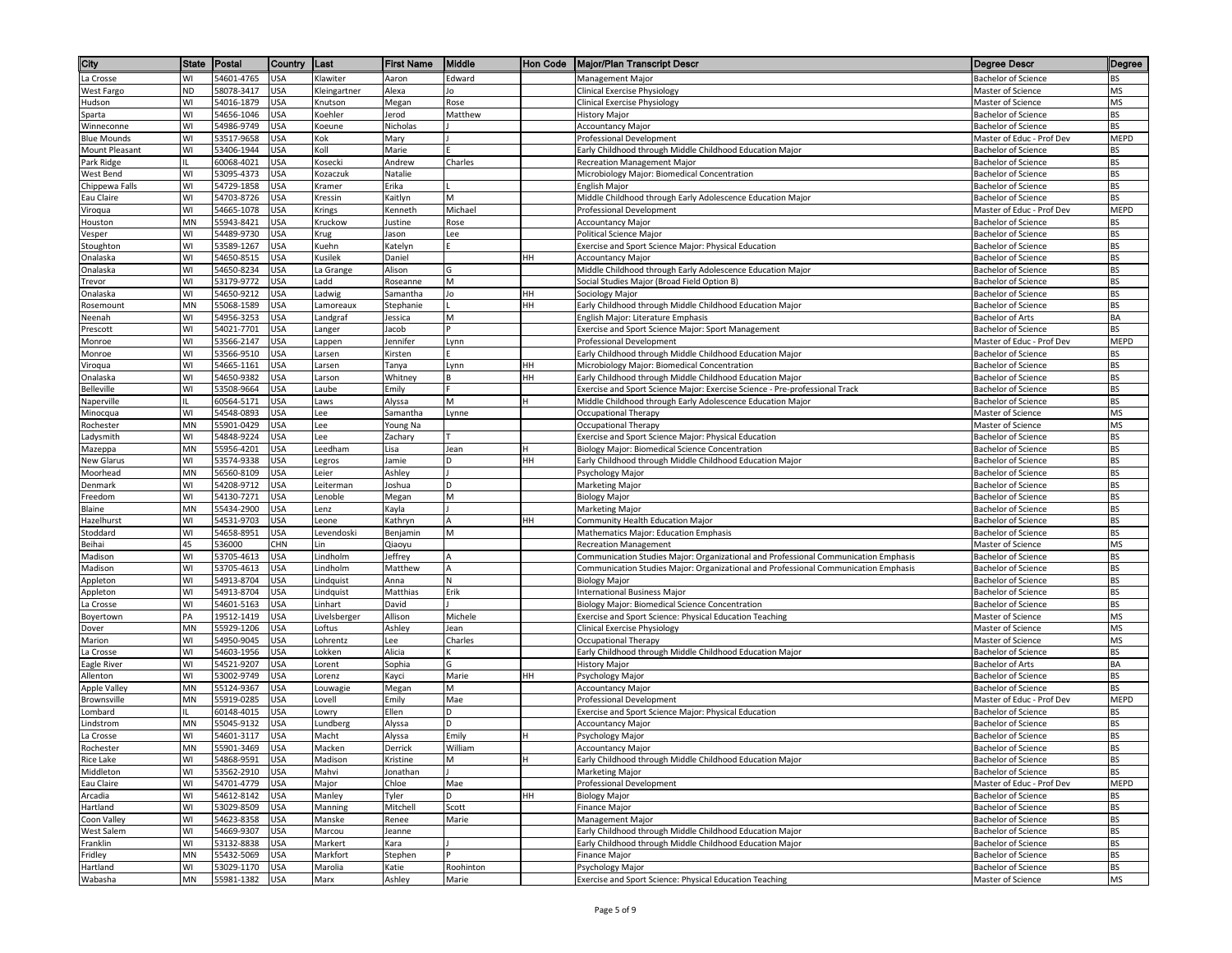| City                                | <b>State</b> | Postal                   | Country           | Last                | <b>First Name</b>    | Middle       | <b>Hon Code</b> | <b>Major/Plan Transcript Descr</b>                                                                                  | Degree Descr                                             | Degree                 |
|-------------------------------------|--------------|--------------------------|-------------------|---------------------|----------------------|--------------|-----------------|---------------------------------------------------------------------------------------------------------------------|----------------------------------------------------------|------------------------|
| La Crosse                           | WI           | 54601-4765               | <b>USA</b>        | Klawiter            | Aaron                | Edward       |                 | Management Major                                                                                                    | <b>Bachelor of Science</b>                               | <b>BS</b>              |
| West Fargo                          | <b>ND</b>    | 58078-3417               | <b>USA</b>        | Kleingartner        | Alexa                | Jo           |                 | Clinical Exercise Physiology                                                                                        | Master of Science                                        | <b>MS</b>              |
| Hudson                              | WI           | 54016-1879               | <b>USA</b>        | Knutson             | Megan                | Rose         |                 | <b>Clinical Exercise Physiology</b>                                                                                 | Master of Science                                        | <b>MS</b>              |
| Sparta                              | WI           | 54656-1046               | USA               | Koehler             | Jerod                | Matthew      |                 | History Major                                                                                                       | Bachelor of Science                                      | <b>BS</b>              |
| Winneconne                          | WI           | 54986-9749               | JSA               | Koeune              | Nicholas             |              |                 | <b>Accountancy Major</b>                                                                                            | <b>Bachelor of Science</b>                               | <b>BS</b>              |
| <b>Blue Mounds</b>                  | WI           | 53517-9658               | USA               | Kok                 | Mary                 |              |                 | Professional Development                                                                                            | Master of Educ - Prof Dev                                | <b>MEPD</b>            |
| <b>Mount Pleasant</b><br>Park Ridge | WI           | 53406-1944<br>60068-4021 | USA<br>USA        | Koll<br>Kosecki     | Marie<br>Andrew      | Charles      |                 | Early Childhood through Middle Childhood Education Major                                                            | <b>Bachelor of Science</b><br><b>Bachelor of Science</b> | <b>BS</b><br><b>BS</b> |
| West Bend                           | WI           | 53095-4373               | USA               | Kozaczuk            | Natalie              |              |                 | Recreation Management Major<br>Microbiology Major: Biomedical Concentration                                         | <b>Bachelor of Science</b>                               | <b>BS</b>              |
| Chippewa Falls                      | WI           | 54729-1858               | <b>USA</b>        | Kramer              | Erika                |              |                 | English Major                                                                                                       | <b>Bachelor of Science</b>                               | <b>BS</b>              |
| Eau Claire                          | WI           | 54703-8726               | <b>USA</b>        | Kressin             | Kaitlyn              | M            |                 | Middle Childhood through Early Adolescence Education Major                                                          | <b>Bachelor of Science</b>                               | <b>BS</b>              |
| Viroqua                             | WI           | 54665-1078               | <b>USA</b>        | Krings              | Kenneth              | Michael      |                 | Professional Development                                                                                            | Master of Educ - Prof Dev                                | <b>MEPD</b>            |
| Houston                             | MN           | 55943-8421               | USA               | Kruckow             | Justine              | Rose         |                 | <b>Accountancy Major</b>                                                                                            | <b>Bachelor of Science</b>                               | <b>BS</b>              |
| Vesper                              | WI           | 54489-9730               | USA               | Krug                | Jason                | Lee          |                 | Political Science Major                                                                                             | <b>Bachelor of Science</b>                               | <b>BS</b>              |
| Stoughton                           | WI           | 53589-1267               | USA               | Kuehn               | Katelyn              |              |                 | Exercise and Sport Science Major: Physical Education                                                                | <b>Bachelor of Science</b>                               | <b>BS</b>              |
| Onalaska                            | WI           | 54650-8515               | USA               | Kusilek             | Daniel               |              | HН              | <b>Accountancy Major</b>                                                                                            | Bachelor of Science                                      | <b>BS</b>              |
| Onalaska                            | WI           | 54650-8234               | USA               | La Grange           | Alison               | G            |                 | Middle Childhood through Early Adolescence Education Major                                                          | <b>Bachelor of Science</b>                               | <b>BS</b>              |
| Trevor<br>Onalaska                  | WI<br>WI     | 53179-9772<br>54650-9212 | USA<br><b>USA</b> | Ladd                | Roseanne<br>Samantha | M<br>Jo      | HH              | Social Studies Major (Broad Field Option B)                                                                         | <b>Bachelor of Science</b><br><b>Bachelor of Science</b> | <b>BS</b><br><b>BS</b> |
| Rosemount                           | MN           | 55068-1589               | <b>USA</b>        | Ladwig<br>Lamoreaux | Stephanie            |              | HН              | Sociology Major<br>Early Childhood through Middle Childhood Education Major                                         | <b>Bachelor of Science</b>                               | <b>BS</b>              |
| Neenah                              | WI           | 54956-3253               | USA               | Landgraf            | Jessica              | M            |                 | English Major: Literature Emphasis                                                                                  | <b>Bachelor of Arts</b>                                  | BA                     |
| Prescott                            | WI           | 54021-7701               | <b>USA</b>        | Langer              | Jacob                |              |                 | Exercise and Sport Science Major: Sport Management                                                                  | <b>Bachelor of Science</b>                               | <b>BS</b>              |
| Monroe                              | WI           | 53566-2147               | USA               | appen               | lennifer             | Lynn         |                 | Professional Development                                                                                            | Master of Educ - Prof Dev                                | <b>MEPD</b>            |
| Monroe                              | WI           | 53566-9510               | <b>USA</b>        | Larsen              | Kirsten              |              |                 | Early Childhood through Middle Childhood Education Major                                                            | <b>Bachelor of Science</b>                               | <b>BS</b>              |
| Viroqua                             | WI           | 54665-1161               | USA               | Larsen              | Tanya                | Lynn         | HН              | Microbiology Major: Biomedical Concentration                                                                        | <b>Bachelor of Science</b>                               | <b>BS</b>              |
| Onalaska                            | WI           | 54650-9382               | USA               | Larson              | Whitney              | B            | HH              | Early Childhood through Middle Childhood Education Major                                                            | <b>Bachelor of Science</b>                               | <b>BS</b>              |
| Belleville                          | WI           | 53508-9664               | USA               | Laube               | Emily                |              |                 | Exercise and Sport Science Major: Exercise Science - Pre-professional Track                                         | Bachelor of Science                                      | <b>BS</b>              |
| Naperville                          |              | 60564-5171               | <b>USA</b>        | Laws                | Alyssa               | M            | н               | Middle Childhood through Early Adolescence Education Major                                                          | <b>Bachelor of Science</b>                               | <b>BS</b>              |
| Minocqua                            | WI<br>MN     | 54548-0893<br>55901-0429 | USA               | Lee                 | Samantha             | Lynne        |                 | Occupational Therapy                                                                                                | Master of Science                                        | <b>MS</b>              |
| Rochester<br>Ladysmith              | WI           | 54848-9224               | USA<br>USA        | Lee<br>Lee          | Young Na<br>Zachary  |              |                 | Occupational Therapy<br>Exercise and Sport Science Major: Physical Education                                        | Master of Science<br><b>Bachelor of Science</b>          | <b>MS</b><br><b>BS</b> |
| Mazeppa                             | MN           | 55956-4201               | USA               | Leedham             | Lisa                 | Jean         |                 | Biology Major: Biomedical Science Concentration                                                                     | <b>Bachelor of Science</b>                               | <b>BS</b>              |
| New Glarus                          | WI           | 53574-9338               | USA               | Legros              | Jamie                | D            | HH              | Early Childhood through Middle Childhood Education Major                                                            | <b>Bachelor of Science</b>                               | <b>BS</b>              |
| Moorhead                            | MN           | 56560-8109               | USA               | Leier               | Ashley               |              |                 | Psychology Major                                                                                                    | <b>Bachelor of Science</b>                               | <b>BS</b>              |
| Denmark                             | WI           | 54208-9712               | <b>USA</b>        | Leiterman           | Joshua               | D            |                 | Marketing Major                                                                                                     | <b>Bachelor of Science</b>                               | <b>BS</b>              |
| Freedom                             | WI           | 54130-7271               | <b>USA</b>        | Lenoble             | Megan                | M            |                 | <b>Biology Major</b>                                                                                                | <b>Bachelor of Science</b>                               | <b>BS</b>              |
| Blaine                              | <b>MN</b>    | 55434-2900               | USA               | Lenz                | Kayla                |              |                 | Marketing Major                                                                                                     | <b>Bachelor of Science</b>                               | <b>BS</b>              |
| Hazelhurst                          | WI           | 54531-9703               | USA               | eone.               | Kathryn              |              | нн              | Community Health Education Major                                                                                    | <b>Bachelor of Science</b>                               | <b>BS</b>              |
| Stoddard                            | WI           | 54658-8951               | USA               | Levendoski          | Benjamin             | M            |                 | Mathematics Major: Education Emphasis                                                                               | <b>Bachelor of Science</b>                               | <b>BS</b>              |
| Beihai<br>Madison                   | 45<br>WI     | 536000<br>53705-4613     | CHN<br><b>USA</b> | Lin<br>Lindholm     | Qiaoyu               | А            |                 | <b>Recreation Management</b><br>Communication Studies Major: Organizational and Professional Communication Emphasis | Master of Science<br>Bachelor of Science                 | <b>MS</b><br><b>BS</b> |
| Madison                             | WI           | 53705-4613               | <b>USA</b>        | Lindholm            | Jeffrey<br>Matthew   | $\mathsf{A}$ |                 | Communication Studies Major: Organizational and Professional Communication Emphasis                                 | <b>Bachelor of Science</b>                               | <b>BS</b>              |
| Appleton                            | WI           | 54913-8704               | USA               | Lindquist           | Anna                 | N            |                 | <b>Biology Major</b>                                                                                                | <b>Bachelor of Science</b>                               | <b>BS</b>              |
| Appleton                            | WI           | 54913-8704               | USA               | Lindquist           | Matthias             | Erik         |                 | International Business Major                                                                                        | <b>Bachelor of Science</b>                               | <b>BS</b>              |
| La Crosse                           | WI           | 54601-5163               | <b>USA</b>        | Linhart             | David                |              |                 | Biology Major: Biomedical Science Concentration                                                                     | <b>Bachelor of Science</b>                               | <b>BS</b>              |
| Boyertown                           | PA           | 19512-1419               | JSA               | Livelsberger        | Allison              | Michele      |                 | Exercise and Sport Science: Physical Education Teaching                                                             | Master of Science                                        | <b>MS</b>              |
| Dover                               | MN           | 55929-1206               | USA               | Loftus              | Ashley               | Jean         |                 | <b>Clinical Exercise Physiology</b>                                                                                 | Master of Science                                        | <b>MS</b>              |
| Marion                              | WI           | 54950-9045               | USA               | Lohrentz            | Lee                  | Charles      |                 | Occupational Therapy                                                                                                | Master of Science                                        | <b>MS</b>              |
| La Crosse                           | WI           | 54603-1956               | USA               | Lokken              | Alicia               | ĸ            |                 | Early Childhood through Middle Childhood Education Major                                                            | <b>Bachelor of Science</b>                               | <b>BS</b>              |
| Eagle River                         | WI           | 54521-9207               | USA               | .orent              | Sophia               | G            |                 | <b>History Major</b>                                                                                                | <b>Bachelor of Arts</b>                                  | <b>BA</b>              |
| Allenton<br><b>Apple Valley</b>     | WI<br>MN     | 53002-9749<br>55124-9367 | USA<br>USA        | Lorenz<br>Louwagie  | Kayci<br>Megan       | Marie<br>M   | HH              | Psychology Major<br><b>Accountancy Major</b>                                                                        | <b>Bachelor of Science</b><br><b>Bachelor of Science</b> | <b>BS</b><br><b>BS</b> |
| Brownsville                         | MN           | 55919-0285               | <b>USA</b>        | Lovell              | Emily                | Mae          |                 | Professional Development                                                                                            | Master of Educ - Prof Dev                                | <b>MEPD</b>            |
| Lombard                             |              | 60148-4015               | <b>USA</b>        | owry.               | Ellen                | D            |                 | Exercise and Sport Science Major: Physical Education                                                                | <b>Bachelor of Science</b>                               | <b>BS</b>              |
| Lindstrom                           | MN           | 55045-9132               | USA               | Lundberg            | Alyssa               | D            |                 | <b>Accountancy Major</b>                                                                                            | <b>Bachelor of Science</b>                               | <b>BS</b>              |
| La Crosse                           | WI           | 54601-3117               | <b>USA</b>        | Macht               | Alyssa               | Emily        |                 | Psychology Major                                                                                                    | <b>Bachelor of Science</b>                               | <b>BS</b>              |
| Rochester                           | <b>MN</b>    | 55901-3469               | <b>USA</b>        | Macken              | Derrick              | William      |                 | <b>Accountancy Major</b>                                                                                            | <b>Bachelor of Science</b>                               | <b>BS</b>              |
| Rice Lake                           | WI           | 54868-9591               | <b>USA</b>        | Madison             | Kristine             | M            | H               | Early Childhood through Middle Childhood Education Major                                                            | <b>Bachelor of Science</b>                               | <b>BS</b>              |
| Middleton                           | WI           | 53562-2910               | <b>USA</b>        | Mahvi               | Jonathan             |              |                 | Marketing Major                                                                                                     | <b>Bachelor of Science</b>                               | <b>BS</b>              |
| Eau Claire                          | WI           | 54701-4779               | <b>USA</b>        | Major               | Chloe                | Mae          |                 | Professional Development                                                                                            | Master of Educ - Prof Dev                                | <b>MEPD</b>            |
| Arcadia                             | WI           | 54612-8142               | <b>USA</b>        | Manley              | Tyler                | D            | HH              | <b>Biology Major</b>                                                                                                | <b>Bachelor of Science</b>                               | <b>BS</b>              |
| Hartland                            | WI           | 53029-8509<br>54623-8358 | USA               | Manning             | Mitchell             | Scott        |                 | Finance Major                                                                                                       | <b>Bachelor of Science</b>                               | <b>BS</b>              |
| Coon Valley<br>West Salem           | WI<br>WI     | 54669-9307               | USA<br>USA        | Manske<br>Marcou    | Renee<br>Jeanne      | Marie        |                 | Management Major<br>Early Childhood through Middle Childhood Education Major                                        | <b>Bachelor of Science</b><br><b>Bachelor of Science</b> | <b>BS</b><br><b>BS</b> |
| Franklin                            | WI           | 53132-8838               | USA               | Markert             | Kara                 |              |                 | Early Childhood through Middle Childhood Education Major                                                            | <b>Bachelor of Science</b>                               | <b>BS</b>              |
| Fridley                             | MN           | 55432-5069               | <b>USA</b>        | Markfort            | Stephen              |              |                 | Finance Major                                                                                                       | Bachelor of Science                                      | <b>BS</b>              |
| Hartland                            | WI           | 53029-1170               | <b>USA</b>        | Marolia             | Katie                | Roohinton    |                 | Psychology Major                                                                                                    | <b>Bachelor of Science</b>                               | <b>BS</b>              |
| Wabasha                             | MN           | 55981-1382               | <b>USA</b>        | Marx                | Ashley               | Marie        |                 | Exercise and Sport Science: Physical Education Teaching                                                             | Master of Science                                        | <b>MS</b>              |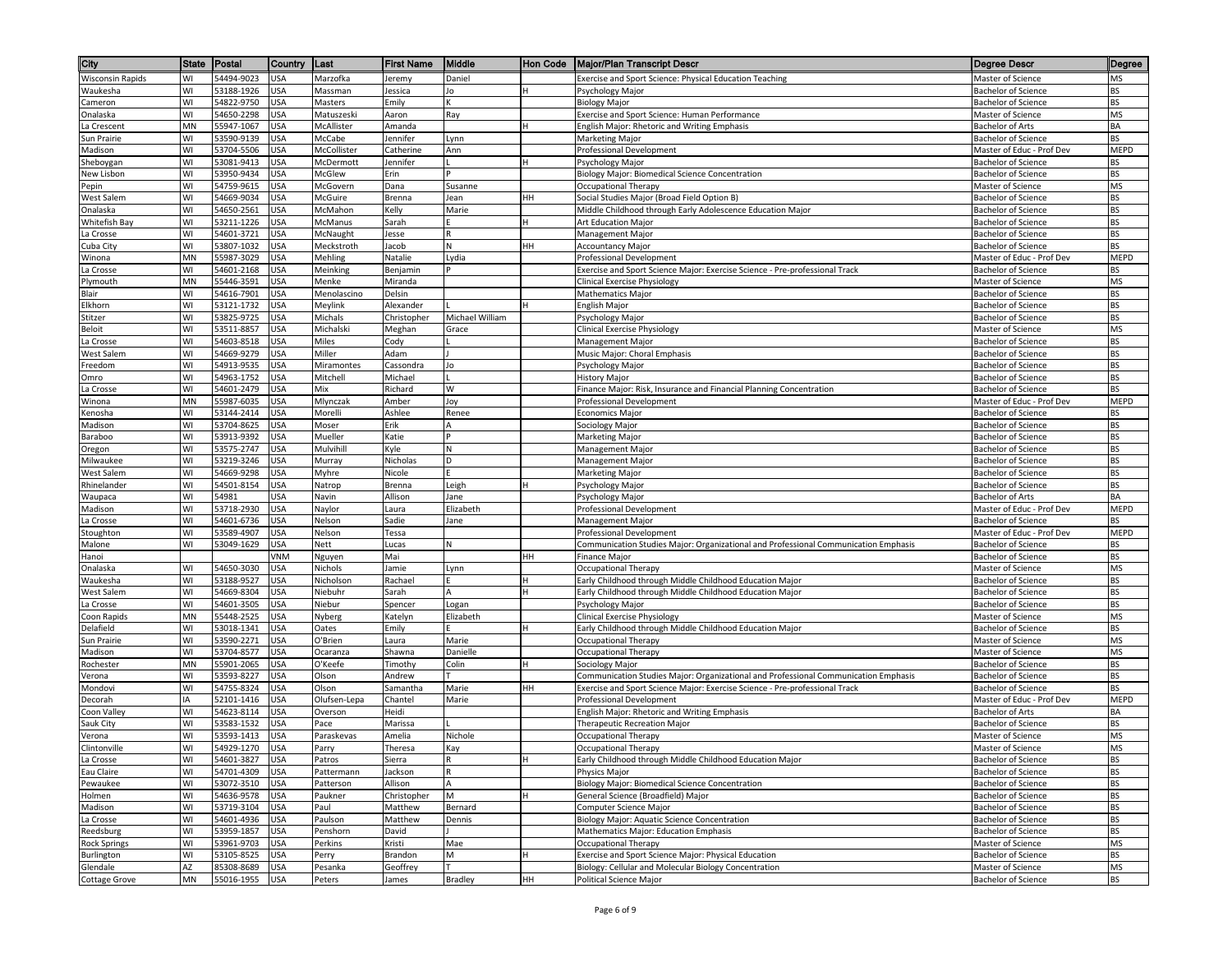| City                             | <b>State</b> | Postal                   | Country                  | Last                   | <b>First Name</b>   | Middle          | Hon Code | Major/Plan Transcript Descr                                                                                   | <b>Degree Descr</b>                                      | Degree          |
|----------------------------------|--------------|--------------------------|--------------------------|------------------------|---------------------|-----------------|----------|---------------------------------------------------------------------------------------------------------------|----------------------------------------------------------|-----------------|
| <b>Wisconsin Rapids</b>          | WI           | 54494-9023               | <b>USA</b>               | Marzofka               | Jeremy              | Daniel          |          | Exercise and Sport Science: Physical Education Teaching                                                       | Master of Science                                        | MS              |
| Waukesha                         | WI           | 53188-1926               | <b>USA</b>               | Massman                | Jessica             | Jo              |          | Psychology Major                                                                                              | <b>Bachelor of Science</b>                               | BS              |
| Cameron                          | WI           | 54822-9750               | <b>USA</b>               | Masters                | Emily               | К               |          | <b>Biology Major</b>                                                                                          | <b>Bachelor of Science</b>                               | BS              |
| Onalaska                         | WI           | 54650-2298               | USA                      | Matuszeski             | Aaron               | Ray             |          | Exercise and Sport Science: Human Performance                                                                 | Master of Science                                        | MS              |
| La Crescent                      | <b>MN</b>    | 55947-1067               | USA                      | McAllister             | Amanda              |                 |          | English Major: Rhetoric and Writing Emphasis                                                                  | <b>Bachelor of Arts</b>                                  | BA              |
| Sun Prairie                      | WI           | 53590-9139               | USA                      | McCabe                 | Jennifer            | Lynn            |          | <b>Marketing Major</b>                                                                                        | <b>Bachelor of Science</b>                               | ВS              |
| Madison                          | WI<br>WI     | 53704-5506<br>53081-9413 | USA<br>USA               | McCollister            | Catherine           | Ann             |          | Professional Development                                                                                      | Master of Educ - Prof Dev                                | MEPD            |
| Sheboygan<br>New Lisbon          | WI           | 53950-9434               | USA                      | McDermott<br>McGlew    | Jennifer<br>Erin    |                 |          | Psychology Major<br>Biology Major: Biomedical Science Concentration                                           | <b>Bachelor of Science</b><br><b>Bachelor of Science</b> | ВS<br><b>BS</b> |
| Pepin                            | WI           | 54759-9615               | <b>USA</b>               | McGovern               | Dana                | Susanne         |          | Occupational Therapy                                                                                          | Master of Science                                        | MS              |
| West Salem                       | WI           | 54669-9034               | USA                      | McGuire                | Brenna              | Jean            | HН       | Social Studies Major (Broad Field Option B)                                                                   | <b>Bachelor of Science</b>                               | <b>BS</b>       |
| Onalaska                         | WI           | 54650-2561               | USA                      | McMahon                | Kelly               | Marie           |          | Middle Childhood through Early Adolescence Education Major                                                    | <b>Bachelor of Science</b>                               | BS              |
| Whitefish Bay                    | WI           | 53211-1226               | <b>USA</b>               | McManus                | Sarah               |                 |          | Art Education Major                                                                                           | <b>Bachelor of Science</b>                               | BS              |
| La Crosse                        | WI           | 54601-3721               | <b>USA</b>               | McNaught               | Jesse               | R               |          | Management Major                                                                                              | <b>Bachelor of Science</b>                               | <b>BS</b>       |
| Cuba City                        | WI           | 53807-1032               | USA                      | Meckstroth             | Jacob               | N               | HН       | <b>Accountancy Major</b>                                                                                      | <b>Bachelor of Science</b>                               | ВS              |
| Winona                           | MN           | 55987-3029               | USA                      | Mehling                | Natalie             | Lydia           |          | Professional Development                                                                                      | Master of Educ - Prof Dev                                | <b>MEPD</b>     |
| La Crosse                        | WI           | 54601-2168               | USA                      | Meinking               | Benjamin            |                 |          | Exercise and Sport Science Major: Exercise Science - Pre-professional Track                                   | Bachelor of Science                                      | BS              |
| Plymouth<br>Blair                | MN<br>WI     | 55446-3591               | USA                      | Menke                  | Miranda<br>Delsin   |                 |          | Clinical Exercise Physiology                                                                                  | Master of Science<br><b>Bachelor of Science</b>          | MS<br>BS        |
| Elkhorn                          | WI           | 54616-7901<br>53121-1732 | USA<br>USA               | Menolascino<br>Meylink | Alexander           |                 |          | <b>Mathematics Major</b><br>English Major                                                                     | <b>Bachelor of Science</b>                               | BS              |
| Stitzer                          | WI           | 53825-9725               | <b>USA</b>               | Michals                | Christopher         | Michael William |          | Psychology Major                                                                                              | <b>Bachelor of Science</b>                               | <b>BS</b>       |
| Beloit                           | WI           | 53511-8857               | <b>USA</b>               | Michalski              | Meghan              | Grace           |          | Clinical Exercise Physiology                                                                                  | Master of Science                                        | MS              |
| a Crosse                         | WI           | 54603-8518               | USA                      | Miles                  | Cody                |                 |          | Management Major                                                                                              | Bachelor of Science                                      | <b>BS</b>       |
| West Salem                       | WI           | 54669-9279               | USA                      | Miller                 | Adam                |                 |          | Music Major: Choral Emphasis                                                                                  | <b>Bachelor of Science</b>                               | BS              |
| reedom                           | WI           | 54913-9535               | USA                      | Miramontes             | Cassondra           | Jo              |          | Psychology Major                                                                                              | <b>Bachelor of Science</b>                               | <b>BS</b>       |
| Omro                             | WI           | 54963-1752               | USA                      | Mitchell               | Michael             |                 |          | <b>History Major</b>                                                                                          | <b>Bachelor of Science</b>                               | BS              |
| a Crosse                         | WI           | 54601-2479               | USA                      | Mix                    | Richard             | W               |          | Finance Major: Risk, Insurance and Financial Planning Concentration                                           | <b>Bachelor of Science</b>                               | <b>BS</b>       |
| Winona                           | MN           | 55987-6035               | USA                      | Mlynczak               | Amber               | Joy             |          | Professional Development                                                                                      | Master of Educ - Prof Dev                                | MEPD            |
| Kenosha                          | WI           | 53144-2414               | USA                      | Morelli                | Ashlee              | Renee           |          | <b>Economics Major</b>                                                                                        | <b>Bachelor of Science</b>                               | BS              |
| Madison                          | WI<br>WI     | 53704-8625<br>53913-9392 | USA<br>USA               | Moser<br>Mueller       | Erik<br>Katie       |                 |          | Sociology Major<br>Marketing Major                                                                            | <b>Bachelor of Science</b><br><b>Bachelor of Science</b> | BS<br>ВS        |
| Baraboo<br>Oregon                | WI           | 53575-2747               | USA                      | Mulvihill              | Kyle                |                 |          | <b>Management Major</b>                                                                                       | <b>Bachelor of Science</b>                               | <b>BS</b>       |
| Milwaukee                        | WI           | 53219-3246               | <b>USA</b>               | Murray                 | Nicholas            | D               |          | Management Major                                                                                              | <b>Bachelor of Science</b>                               | BS              |
| West Salem                       | WI           | 54669-9298               | USA                      | Myhre                  | Nicole              |                 |          | <b>Marketing Major</b>                                                                                        | Bachelor of Science                                      | <b>BS</b>       |
| Rhinelander                      | WI           | 54501-8154               | <b>USA</b>               | Natrop                 | Brenna              | Leigh           |          | Psychology Major                                                                                              | <b>Bachelor of Science</b>                               | BS              |
| Waupaca                          | WI           | 54981                    | USA                      | Navin                  | Allison             | Jane            |          | Psychology Major                                                                                              | <b>Bachelor of Arts</b>                                  | BA              |
| Madison                          | WI           | 53718-2930               | <b>USA</b>               | Naylor                 | Laura               | Elizabeth       |          | Professional Development                                                                                      | Master of Educ - Prof Dev                                | MEPD            |
| La Crosse                        | WI           | 54601-6736               | <b>USA</b>               | Nelson                 | Sadie               | Jane            |          | Management Major                                                                                              | <b>Bachelor of Science</b>                               | ВS              |
| Stoughton                        | WI           | 53589-4907               | USA                      | Nelson                 | Tessa               |                 |          | Professional Development                                                                                      | Master of Educ - Prof Dev                                | <b>MEPD</b>     |
| Malone                           | WI           | 53049-1629               | USA                      | Nett                   | Lucas               | N               |          | Communication Studies Major: Organizational and Professional Communication Emphasis                           | <b>Bachelor of Science</b>                               | ВS              |
| Hanoi                            |              |                          | VNM                      | Nguyen                 | Mai                 |                 | HН       | <b>Finance Major</b>                                                                                          | <b>Bachelor of Science</b>                               | BS              |
| Onalaska<br>Waukesha             | WI<br>WI     | 54650-3030<br>53188-9527 | USA<br>USA               | Nichols<br>Nicholson   | Jamie<br>Rachael    | Lynn            |          | <b>Occupational Therapy</b><br>Early Childhood through Middle Childhood Education Major                       | Master of Science<br><b>Bachelor of Science</b>          | MS<br><b>BS</b> |
| West Salem                       | WI           | 54669-8304               | USA                      | Niebuhr                | Sarah               | A               |          | Early Childhood through Middle Childhood Education Major                                                      | <b>Bachelor of Science</b>                               | BS              |
| La Crosse                        | WI           | 54601-3505               | USA                      | Niebur                 | Spencer             | Logan           |          | Psychology Major                                                                                              | <b>Bachelor of Science</b>                               | BS              |
| Coon Rapids                      | MN           | 55448-2525               | <b>USA</b>               | Nyberg                 | Katelyn             | Elizabeth       |          | <b>Clinical Exercise Physiology</b>                                                                           | Master of Science                                        | <b>MS</b>       |
| Delafield                        | WI           | 53018-1341               | <b>USA</b>               | Oates                  | Emily               |                 |          | Early Childhood through Middle Childhood Education Major                                                      | <b>Bachelor of Science</b>                               | BS              |
| Sun Prairie                      | WI           | 53590-2271               | USA                      | O'Brien                | Laura               | Marie           |          | Occupational Therapy                                                                                          | <b>Master of Science</b>                                 | MS              |
| Madison                          | WI           | 53704-8577               | USA                      | Ocaranza               | Shawna              | Danielle        |          | Occupational Therapy                                                                                          | Master of Science                                        | MS              |
| Rochester                        | MN           | 55901-2065               | USA                      | O'Keefe                | Timothy             | Colin           |          | Sociology Major                                                                                               | <b>Bachelor of Science</b>                               | <b>BS</b>       |
| Verona                           | WI           | 53593-8227               | USA                      | Olson                  | Andrew              |                 |          | Communication Studies Major: Organizational and Professional Communication Emphasis                           | <b>Bachelor of Science</b>                               | BS              |
| Mondovi                          | WI           | 54755-8324               | USA                      | Olson                  | Samantha            | Marie           | HН       | Exercise and Sport Science Major: Exercise Science - Pre-professional Track                                   | <b>Bachelor of Science</b>                               | BS              |
| Decorah                          | IA<br>WI     | 52101-1416               | USA                      | Olufsen-Lepa           | Chantel             | Marie           |          | Professional Development                                                                                      | Master of Educ - Prof Dev<br><b>Bachelor of Arts</b>     | MEPD            |
| Coon Valley<br>Sauk City         | WI           | 54623-8114<br>53583-1532 | <b>USA</b><br><b>USA</b> | Overson<br>Pace        | Heidi<br>Marissa    |                 |          | English Major: Rhetoric and Writing Emphasis<br>Therapeutic Recreation Major                                  | <b>Bachelor of Science</b>                               | BA<br>BS        |
| Verona                           | WI           | 53593-1413               | <b>USA</b>               | Paraskevas             | Amelia              | Nichole         |          | Occupational Therapy                                                                                          | Master of Science                                        | MS              |
| Clintonville                     | WI           | 54929-1270               | <b>USA</b>               | Parry                  | Theresa             | Kay             |          | Occupational Therapy                                                                                          | Master of Science                                        | MS              |
| La Crosse                        | WI           | 54601-3827               | <b>USA</b>               | Patros                 | Sierra              | R               |          | Early Childhood through Middle Childhood Education Major                                                      | <b>Bachelor of Science</b>                               | BS              |
| Eau Claire                       | WI           | 54701-4309               | <b>USA</b>               | Pattermann             | Jackson             |                 |          | <b>Physics Maior</b>                                                                                          | <b>Bachelor of Science</b>                               | BS              |
| Pewaukee                         | WI           | 53072-3510               | USA                      | Patterson              | Allison             | A               |          | Biology Major: Biomedical Science Concentration                                                               | <b>Bachelor of Science</b>                               | BS              |
| Holmen                           | WI           | 54636-9578               | USA                      | Paukner                | Christopher         | M               |          | General Science (Broadfield) Major                                                                            | <b>Bachelor of Science</b>                               | BS              |
| Madison                          | WI           | 53719-3104               | USA                      | Paul                   | Matthew             | Bernard         |          | Computer Science Major                                                                                        | <b>Bachelor of Science</b>                               | <b>BS</b>       |
| La Crosse                        | WI           | 54601-4936               | <b>USA</b>               | Paulson                | Matthew             | Dennis          |          | Biology Major: Aquatic Science Concentration                                                                  | Bachelor of Science                                      | BS              |
| Reedsburg                        | WI           | 53959-1857               | <b>USA</b>               | Penshorn               | David               |                 |          | Mathematics Major: Education Emphasis                                                                         | <b>Bachelor of Science</b>                               | <b>BS</b>       |
| Rock Springs                     | WI           | 53961-9703               | <b>USA</b>               | Perkins                | Kristi              | Mae             |          | Occupational Therapy                                                                                          | Master of Science                                        | MS              |
| Burlington                       | WI<br>AZ     | 53105-8525<br>85308-8689 | USA                      | Perry<br>Pesanka       | Brandon<br>Geoffrey | M               |          | Exercise and Sport Science Major: Physical Education<br>Biology: Cellular and Molecular Biology Concentration | Bachelor of Science                                      | BS<br>MS        |
| Glendale<br><b>Cottage Grove</b> | MN           | 55016-1955 USA           | USA                      | Peters                 | James               | <b>Bradley</b>  | HH       | Political Science Major                                                                                       | Master of Science<br><b>Bachelor of Science</b>          | BS              |
|                                  |              |                          |                          |                        |                     |                 |          |                                                                                                               |                                                          |                 |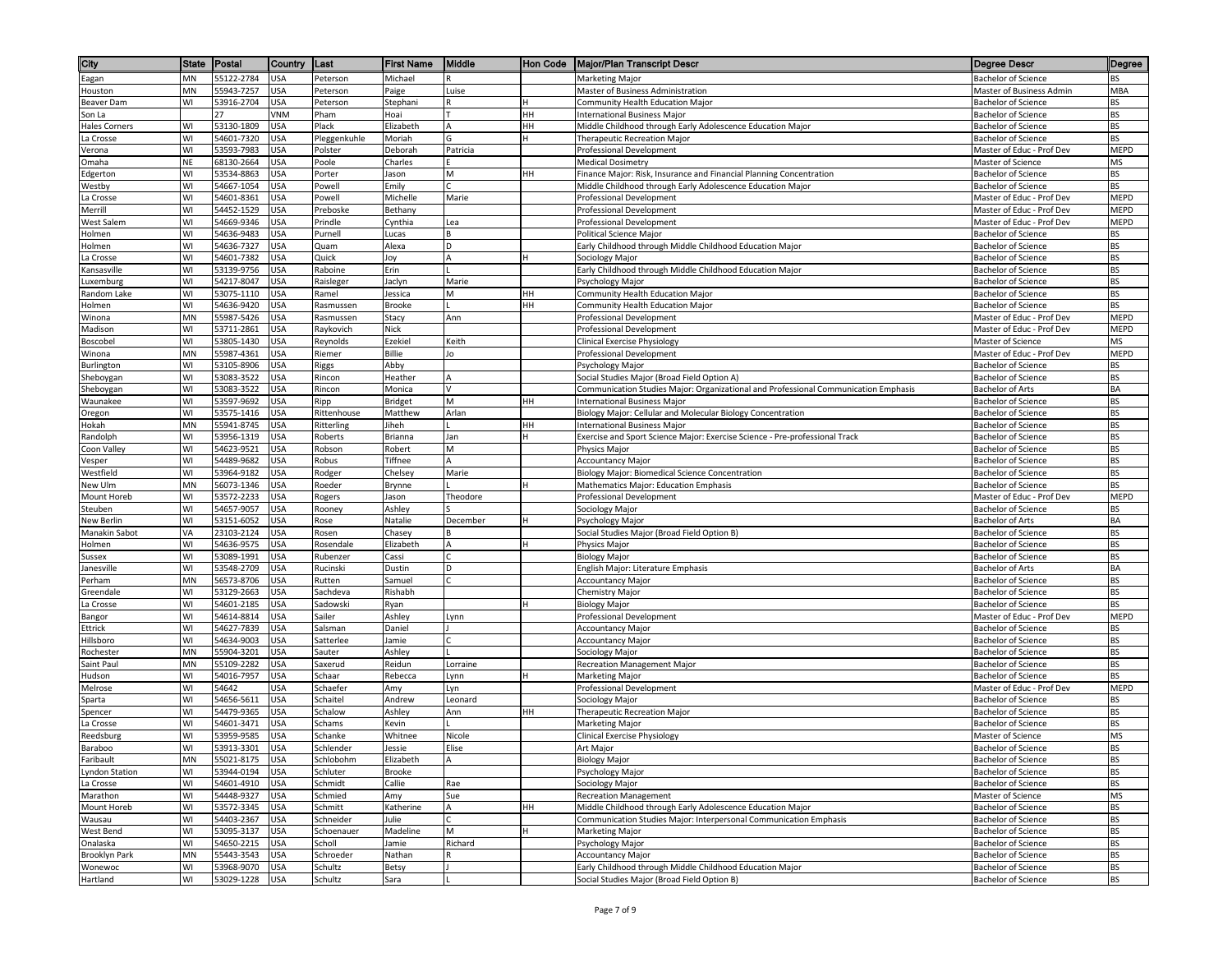| City                    | <b>State</b> | Postal                   | Country                  | ∥Last             | <b>First Name</b>  | Middle     | Hon Code | Major/Plan Transcript Descr                                                         | Degree Descr                                      | Degree          |
|-------------------------|--------------|--------------------------|--------------------------|-------------------|--------------------|------------|----------|-------------------------------------------------------------------------------------|---------------------------------------------------|-----------------|
| Eagan                   | MN           | 55122-2784               | <b>USA</b>               | Peterson          | Michael            |            |          | Marketing Major                                                                     | <b>Bachelor of Science</b>                        | <b>BS</b>       |
| Houston                 | MN           | 55943-7257               | <b>USA</b>               | Peterson          | Paige              | Luise      |          | Master of Business Administration                                                   | Master of Business Admin                          | MBA             |
| Beaver Dam              | WI           | 53916-2704               | USA                      | Peterson          | Stephani           |            |          | Community Health Education Major                                                    | <b>Bachelor of Science</b>                        | BS              |
| Son La                  |              | 27                       | VNM                      | Pham              | Hoai               |            | HH       | <b>International Business Major</b>                                                 | <b>Bachelor of Science</b>                        | BS              |
| Hales Corners           | WI           | 53130-1809               | <b>JSA</b>               | Plack             | Elizabeth          |            | HН       | Middle Childhood through Early Adolescence Education Major                          | <b>Bachelor of Science</b>                        | BS              |
| La Crosse               | WI           | 54601-7320               | USA                      | Pleggenkuhle      | Moriah             | G          |          | Therapeutic Recreation Major                                                        | <b>Bachelor of Science</b>                        | BS              |
| Verona                  | WI           | 53593-7983               | <b>USA</b>               | Polster           | Deborah            | Patricia   |          | Professional Development                                                            | Master of Educ - Prof Dev                         | MEPD            |
| Omaha                   | NE           | 68130-2664               | <b>USA</b>               | Poole             | Charles            |            |          | <b>Medical Dosimetry</b>                                                            | Master of Science                                 | MS              |
| Edgerton                | WI           | 53534-8863               | USA                      | Porter            | Jason              | M          | HН       | Finance Major: Risk, Insurance and Financial Planning Concentration                 | <b>Bachelor of Science</b>                        | BS              |
| Westby                  | WI           | 54667-1054               | <b>USA</b>               | Powell            | Emily              |            |          | Middle Childhood through Early Adolescence Education Major                          | Bachelor of Science                               | BS              |
| La Crosse               | WI           | 54601-8361               | <b>USA</b>               | Powell            | Michelle           | Marie      |          | Professional Development                                                            | Master of Educ - Prof Dev                         | MEPD            |
| Merrill                 | WI           | 54452-1529               | USA                      | Preboske          | Bethany            |            |          | Professional Development                                                            | Master of Educ - Prof Dev                         | MEPD            |
| West Salem              | WI<br>WI     | 54669-9346               | JSA                      | Prindle           | Cynthia            | Lea        |          | Professional Development                                                            | Master of Educ - Prof Dev                         | MEPD<br>BS      |
| Holmen                  | W١           | 54636-9483<br>54636-7327 | USA<br>USA               | Purnell<br>Quam   | Lucas<br>Alexa     | D          |          | Political Science Major<br>Early Childhood through Middle Childhood Education Major | <b>Bachelor of Science</b><br>Bachelor of Science | BS              |
| Holmen<br>a Crosse      | WI           | 54601-7382               | USA                      | Quick             | Joy                | A          |          | Sociology Major                                                                     | Bachelor of Science                               | <b>BS</b>       |
| Kansasville             | WI           | 53139-9756               | <b>USA</b>               | Raboine           | Erin               |            |          | Early Childhood through Middle Childhood Education Major                            | <b>Bachelor of Science</b>                        | BS              |
| uxemburg.               | WI           | 54217-8047               | <b>USA</b>               | Raisleger         | Jaclyn             | Marie      |          | Psychology Major                                                                    | Bachelor of Science                               | BS              |
| Random Lake             | WI           | 53075-1110               | <b>USA</b>               | Ramel             | Jessica            | M          | HH       | Community Health Education Major                                                    | <b>Bachelor of Science</b>                        | BS              |
| Holmen                  | W١           | 54636-9420               | USA                      | Rasmussen         | Brooke             |            | HН       | Community Health Education Major                                                    | <b>Bachelor of Science</b>                        | BS              |
| Winona                  | MN           | 55987-5426               | JSA                      | Rasmussen         | Stacy              | Ann        |          | <b>Professional Development</b>                                                     | Master of Educ - Prof Dev                         | MEPD            |
| Madison                 | W١           | 53711-2861               | USA                      | Raykovich         | Nick               |            |          | Professional Development                                                            | Master of Educ - Prof Dev                         | MEPD            |
| Boscobel                | WI           | 53805-1430               | <b>USA</b>               | Reynolds          | Ezekiel            | Keith      |          | Clinical Exercise Physiology                                                        | Master of Science                                 | MS              |
| Winona                  | MN           | 55987-4361               | USA                      | Riemer            | Billie             | Jo         |          | Professional Development                                                            | Master of Educ - Prof Dev                         | MEPD            |
| Burlington              | WI           | 53105-8906               | USA                      | Riggs             | Abby               |            |          | Psychology Major                                                                    | <b>Bachelor of Science</b>                        | <b>BS</b>       |
| Sheboygan               | WI           | 53083-3522               | USA                      | Rincon            | Heather            | А          |          | Social Studies Major (Broad Field Option A)                                         | <b>Bachelor of Science</b>                        | BS              |
| Sheboygan               | WI           | 53083-3522               | USA                      | Rincon            | Monica             | V          |          | Communication Studies Major: Organizational and Professional Communication Emphasis | Bachelor of Arts                                  | BA              |
| Waunakee                | WI           | 53597-9692               | USA                      | Ripp              | <b>Bridget</b>     | M          | HH       | <b>International Business Major</b>                                                 | <b>Bachelor of Science</b>                        | <b>BS</b>       |
| Oregon                  | WI           | 53575-1416               | <b>USA</b>               | Rittenhouse       | Matthew            | Arlan      |          | Biology Major: Cellular and Molecular Biology Concentration                         | Bachelor of Science                               | BS              |
| Hokah                   | MN           | 55941-8745               | JSA                      | Ritterling        | Jiheh              |            | HH       | <b>International Business Major</b>                                                 | Bachelor of Science                               | BS              |
| Randolph                | WI           | 53956-1319               | USA                      | Roberts           | Brianna            | Jan        |          | Exercise and Sport Science Major: Exercise Science - Pre-professional Track         | Bachelor of Science                               | BS              |
| Coon Valley             | WI<br>W١     | 54623-9521               | <b>USA</b>               | Robson            | Robert             | M          |          | <b>Physics Maior</b><br><b>Accountancy Major</b>                                    | Bachelor of Science<br><b>Bachelor of Science</b> | <b>BS</b>       |
| Vesper<br>Westfield     | WI           | 54489-9682<br>53964-9182 | <b>USA</b><br><b>USA</b> | Robus             | Tiffnee<br>Chelsey | Α<br>Marie |          | Biology Major: Biomedical Science Concentration                                     | <b>Bachelor of Science</b>                        | BS<br>BS        |
| New Ulm                 | MN           | 56073-1346               | <b>USA</b>               | Rodger<br>Roeder  | Brynne             |            |          | Mathematics Major: Education Emphasis                                               | Bachelor of Science                               | BS              |
| Mount Horeb             | W١           | 53572-2233               | <b>USA</b>               | Rogers            | Jason              | Theodore   |          | Professional Development                                                            | Master of Educ - Prof Dev                         | MEPD            |
| Steuben                 | WI           | 54657-9057               | USA                      | Rooney            | Ashley             |            |          | Sociology Major                                                                     | <b>Bachelor of Science</b>                        | BS              |
| New Berlin              | W١           | 53151-6052               | USA                      | Rose              | Natalie            | December   |          | Psychology Major                                                                    | Bachelor of Arts                                  | BA              |
| Manakin Sabot           | VA           | 23103-2124               | JSA                      | Rosen             | Chasey             |            |          | Social Studies Major (Broad Field Option B)                                         | Bachelor of Science                               | <b>BS</b>       |
| Holmen                  | W١           | 54636-9575               | USA                      | Rosendale         | Elizabeth          |            |          | Physics Major                                                                       | Bachelor of Science                               | BS              |
| Sussex                  | WI           | 53089-1991               | USA                      | Rubenzer          | Cassi              |            |          | <b>Biology Major</b>                                                                | Bachelor of Science                               | <b>BS</b>       |
| Janesville              | WI           | 53548-2709               | USA                      | Rucinski          | Dustin             | D          |          | English Major: Literature Emphasis                                                  | <b>Bachelor of Arts</b>                           | BA              |
| Perham                  | MN           | 56573-8706               | USA                      | Rutten            | Samuel             |            |          | <b>Accountancy Major</b>                                                            | Bachelor of Science                               | <b>BS</b>       |
| Greendale               | WI           | 53129-2663               | USA                      | Sachdeva          | Rishabh            |            |          | Chemistry Major                                                                     | <b>Bachelor of Science</b>                        | <b>BS</b>       |
| a Crosse                | WI           | 54601-2185               | USA                      | Sadowski          | Ryan               |            |          | <b>Biology Major</b>                                                                | <b>Bachelor of Science</b>                        | BS              |
| Bangor                  | WI           | 54614-8814               | JSA                      | Sailer            | Ashley             | Lynn       |          | Professional Development                                                            | Master of Educ - Prof Dev                         | MEPD            |
| Ettrick                 | WI           | 54627-7839               | USA                      | Salsman           | Daniel             |            |          | <b>Accountancy Major</b>                                                            | Bachelor of Science                               | BS              |
| Hillsboro               | WI<br>MN     | 54634-9003               | <b>USA</b>               | Satterlee         | Jamie              |            |          | <b>Accountancy Major</b>                                                            | <b>Bachelor of Science</b>                        | <b>BS</b><br>BS |
| Rochester<br>Saint Paul | MN           | 55904-3201<br>55109-2282 | <b>USA</b><br>USA        | Sauter<br>Saxerud | Ashley<br>Reidun   | Lorraine   |          | Sociology Major<br>Recreation Management Major                                      | Bachelor of Science<br><b>Bachelor of Science</b> | <b>BS</b>       |
| Hudson                  | WI           | 54016-7957               | <b>USA</b>               | Schaar            | Rebecca            | Lynn       |          | Marketing Major                                                                     | <b>Bachelor of Science</b>                        | BS              |
| Melrose                 | W١           | 54642                    | USA                      | Schaefer          | Amy                | Lyn        |          | <b>Professional Development</b>                                                     | Master of Educ - Prof Dev                         | MEPD            |
| Sparta                  | WI           | 54656-5611               | <b>USA</b>               | Schaitel          | Andrew             | Leonard    |          | Sociology Major                                                                     | <b>Bachelor of Science</b>                        | BS              |
| Spencer                 | W١           | 54479-9365               | <b>USA</b>               | Schalow           | Ashley             | Ann        | HН       | Therapeutic Recreation Major                                                        | <b>Bachelor of Science</b>                        | ВS              |
| La Crosse               | WI           | 54601-3471               | USA                      | Schams            | Kevin              |            |          | Marketing Major                                                                     | Bachelor of Science                               | BS              |
| Reedsburg               | WI           | 53959-9585               | <b>USA</b>               | Schanke           | Whitnee            | Nicole     |          | Clinical Exercise Physiology                                                        | Master of Science                                 | MS              |
| Baraboo                 | WI           | 53913-3301               | <b>USA</b>               | Schlender         | Jessie             | Elise      |          | Art Major                                                                           | <b>Bachelor of Science</b>                        | <b>BS</b>       |
| Faribault               | ΜN           | 55021-8175               | <b>USA</b>               | Schlobohm         | Elizabeth          | A          |          | <b>Biology Major</b>                                                                | <b>Bachelor of Science</b>                        | BS              |
| <b>Lyndon Station</b>   | WI           | 53944-0194               | <b>USA</b>               | Schluter          | Brooke             |            |          | Psychology Major                                                                    | <b>Bachelor of Science</b>                        | BS              |
| La Crosse               | WI           | 54601-4910               | <b>USA</b>               | Schmidt           | Callie             | Rae        |          | Sociology Major                                                                     | <b>Bachelor of Science</b>                        | <b>BS</b>       |
| Marathon                | WI           | 54448-9327               | <b>USA</b>               | Schmied           | Amy                | Sue        |          | <b>Recreation Management</b>                                                        | Master of Science                                 | MS              |
| Mount Horeb             | WI           | 53572-3345               | USA                      | Schmitt           | Katherine          | A          | HH       | Middle Childhood through Early Adolescence Education Major                          | <b>Bachelor of Science</b>                        | BS              |
| Wausau                  | W١           | 54403-2367               | USA                      | Schneider         | Julie              |            |          | Communication Studies Major: Interpersonal Communication Emphasis                   | Bachelor of Science                               | BS              |
| West Bend               | WI           | 53095-3137               | USA                      | Schoenauer        | Madeline           | M          |          | Marketing Major                                                                     | <b>Bachelor of Science</b>                        | BS              |
| Onalaska                | WI           | 54650-2215               | <b>USA</b>               | Scholl            | Jamie              | Richard    |          | Psychology Major                                                                    | Bachelor of Science                               | BS              |
| <b>Brooklyn Park</b>    | MN           | 55443-3543               | <b>USA</b>               | Schroeder         | Nathan             |            |          | <b>Accountancy Major</b>                                                            | Bachelor of Science                               | BS              |
| Wonewoc                 | WI           | 53968-9070               | <b>USA</b>               | Schultz           | Betsy              |            |          | Early Childhood through Middle Childhood Education Major                            | <b>Bachelor of Science</b>                        | BS              |
| Hartland                | WI           | 53029-1228 USA           |                          | Schultz           | Sara               |            |          | Social Studies Major (Broad Field Option B)                                         | Bachelor of Science                               | BS              |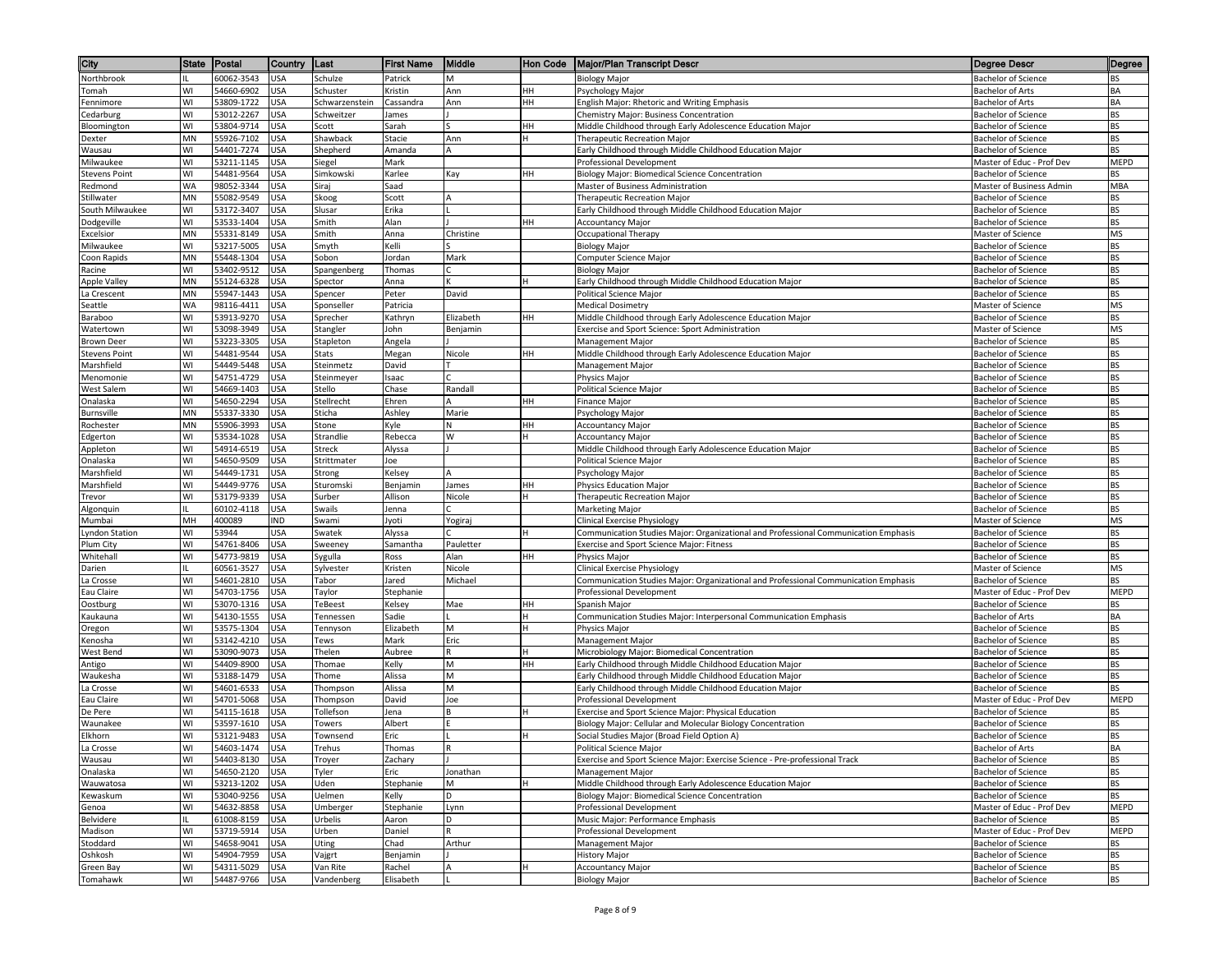| City                             | State    | Postal                   | Country           | Last                  | <b>First Name</b>   | Middle        | Hon Code | <b>Major/Plan Transcript Descr</b>                                                  | <b>Degree Descr</b>                                      | Degree     |
|----------------------------------|----------|--------------------------|-------------------|-----------------------|---------------------|---------------|----------|-------------------------------------------------------------------------------------|----------------------------------------------------------|------------|
| Northbrook                       |          | 60062-3543               | <b>USA</b>        | Schulze               | Patrick             | M             |          | <b>Biology Major</b>                                                                | <b>Bachelor of Science</b>                               | BS         |
| Tomah                            | WI       | 54660-6902               | <b>USA</b>        | Schuster              | Kristin             | Ann           | HН       | Psychology Major                                                                    | <b>Bachelor of Arts</b>                                  | ВA         |
| Fennimore                        | WI       | 53809-1722               | <b>USA</b>        | Schwarzenstein        | Cassandra           | Ann           | HH       | English Major: Rhetoric and Writing Emphasis                                        | Bachelor of Arts                                         | BA         |
| Cedarburg                        | WI       | 53012-2267               | <b>USA</b>        | Schweitzer            | James               |               |          | Chemistry Major: Business Concentration                                             | Bachelor of Science                                      | ВS         |
| Bloomington                      | WI       | 53804-9714               | USA               | Scott                 | Sarah               |               | HН       | Middle Childhood through Early Adolescence Education Major                          | <b>Bachelor of Science</b>                               | BS         |
| Dexter                           | MN       | 55926-7102               | USA               | Shawback              | Stacie              | Ann           |          | Therapeutic Recreation Major                                                        | Bachelor of Science                                      | BS         |
| Wausau                           | WI<br>WI | 54401-7274<br>53211-1145 | USA               | Shepherd              | Amanda<br>Mark      |               |          | Early Childhood through Middle Childhood Education Major                            | <b>Bachelor of Science</b>                               | BS         |
| Milwaukee<br>Stevens Point       | WI       | 54481-9564               | <b>USA</b><br>USA | Siegel<br>Simkowski   | Karlee              |               | HН       | Professional Development<br>Biology Major: Biomedical Science Concentration         | Master of Educ - Prof Dev<br><b>Bachelor of Science</b>  | MEPD<br>BS |
| Redmond                          | WA       | 98052-3344               | <b>USA</b>        | Siraj                 | Saad                | Kay           |          | Master of Business Administration                                                   | Master of Business Admin                                 | MBA        |
| Stillwater                       | MN       | 55082-9549               | USA               | Skoog                 | Scott               |               |          | Therapeutic Recreation Major                                                        | <b>Bachelor of Science</b>                               | ВS         |
| South Milwaukee                  | WI       | 53172-3407               | USA               | Slusar                | Erika               |               |          | Early Childhood through Middle Childhood Education Major                            | <b>Bachelor of Science</b>                               | BS         |
| Dodgeville                       | WI       | 53533-1404               | JSA               | Smith                 | Alan                |               | ΗН       | <b>Accountancy Major</b>                                                            | Bachelor of Science                                      | ВS         |
| Excelsior                        | MN       | 55331-8149               | JSA               | Smith                 | Anna                | Christine     |          | Occupational Therapy                                                                | Master of Science                                        | MS         |
| Milwaukee                        | WI       | 53217-5005               | JSA               | Smyth                 | Kelli               |               |          | <b>Biology Major</b>                                                                | Bachelor of Science                                      | BS         |
| Coon Rapids                      | MN       | 55448-1304               | JSA               | Sobon                 | Jordan              | Mark          |          | Computer Science Major                                                              | Bachelor of Science                                      | BS         |
| Racine                           | WI       | 53402-9512               | JSA               | Spangenberg           | Thomas              |               |          | <b>Biology Major</b>                                                                | Bachelor of Science                                      | BS         |
| Apple Valley                     | MN       | 55124-6328               | USA               | Spector               | Anna                |               |          | Early Childhood through Middle Childhood Education Major                            | <b>Bachelor of Science</b>                               | BS         |
| La Crescent                      | MN       | 55947-1443               | USA               | Spencer               | Peter               | David         |          | Political Science Major                                                             | <b>Bachelor of Science</b>                               | BS         |
| Seattle                          | WA       | 98116-4411               | USA               | Sponseller            | Patricia            |               |          | <b>Medical Dosimetry</b>                                                            | Master of Science                                        | ΜS         |
| Baraboo                          | WI<br>WI | 53913-9270               | JSA               | Sprecher              | Kathryn             | Elizabeth     | HН       | Middle Childhood through Early Adolescence Education Major                          | <b>Bachelor of Science</b>                               | BS         |
| Watertown<br>Brown Deer          | WI       | 53098-3949<br>53223-3305 | USA<br>JSA        | Stangler<br>Stapleton | John<br>Angela      | Benjamin      |          | Exercise and Sport Science: Sport Administration<br><b>Management Major</b>         | Master of Science<br><b>Bachelor of Science</b>          | ΜS<br>BS   |
| <b>Stevens Point</b>             | WI       | 54481-9544               | USA               | Stats                 | Megan               | Nicole        | HН       | Middle Childhood through Early Adolescence Education Major                          | Bachelor of Science                                      | BS         |
| Marshfield                       | WI       | 54449-5448               | JSA               | Steinmetz             | David               |               |          | <b>Management Major</b>                                                             | <b>Bachelor of Science</b>                               | BS         |
| Menomonie                        | WI       | 54751-4729               | USA               | Steinmeyer            | Isaac               |               |          | Physics Major                                                                       | Bachelor of Science                                      | BS         |
| West Salem                       | WI       | 54669-1403               | USA               | Stello                | Chase               | Randall       |          | Political Science Major                                                             | <b>Bachelor of Science</b>                               | ВS         |
| Onalaska                         | WI       | 54650-2294               | USA               | Stellrecht            | Ehren               |               | HН       | Finance Major                                                                       | <b>Bachelor of Science</b>                               | ВS         |
| Burnsville                       | MN       | 55337-3330               | USA               | Sticha                | Ashley              | Marie         |          | Psychology Major                                                                    | <b>Bachelor of Science</b>                               | ВS         |
| Rochester                        | MN       | 55906-3993               | USA               | Stone                 | Kyle                |               | HH       | <b>Accountancy Major</b>                                                            | <b>Bachelor of Science</b>                               | BS         |
| Edgerton                         | WI       | 53534-1028               | USA               | Strandlie             | Rebecca             | W             |          | <b>Accountancy Major</b>                                                            | <b>Bachelor of Science</b>                               | ВS         |
| Appleton                         | WI       | 54914-6519               | USA               | <b>Streck</b>         | Alyssa              |               |          | Middle Childhood through Early Adolescence Education Major                          | <b>Bachelor of Science</b>                               | BS         |
| Onalaska                         | WI       | 54650-9509               | USA               | Strittmater           | Joe                 |               |          | Political Science Major                                                             | Bachelor of Science                                      | BS         |
| Marshfield                       | WI       | 54449-1731               | USA               | Strong                | Kelsey              |               |          | Psychology Major                                                                    | <b>Bachelor of Science</b>                               | BS         |
| Marshfield                       | WI<br>WI | 54449-9776<br>53179-9339 | USA<br><b>USA</b> | Sturomski             | Benjamin<br>Allison | James         | HН       | Physics Education Major<br>Therapeutic Recreation Major                             | <b>Bachelor of Science</b>                               | ВS<br>BS   |
| Trevor<br>Algonquin              |          | 60102-4118               | USA               | Surber<br>Swails      | Jenna               | Nicole        |          | <b>Marketing Major</b>                                                              | <b>Bachelor of Science</b><br><b>Bachelor of Science</b> | BS         |
| Mumbai                           | MН       | 400089                   | IND               | Swami                 | Jyoti               | Yogiraj       |          | <b>Clinical Exercise Physiology</b>                                                 | Master of Science                                        | ΜS         |
| Lyndon Station                   | WI       | 53944                    | USA               | Swatek                | Alyssa              |               |          | Communication Studies Major: Organizational and Professional Communication Emphasis | Bachelor of Science                                      | BS         |
| Plum City                        | WI       | 54761-8406               | USA               | Sweeney               | Samantha            | Pauletter     |          | Exercise and Sport Science Major: Fitness                                           | Bachelor of Science                                      | BS         |
| Whitehall                        | WI       | 54773-9819               | USA               | Sygulla               | Ross                | Alan          | HH       | Physics Major                                                                       | Bachelor of Science                                      | BS         |
| Darien                           |          | 60561-3527               | USA               | Sylvester             | Kristen             | Nicole        |          | <b>Clinical Exercise Physiology</b>                                                 | Master of Science                                        | MS         |
| La Crosse                        | WI       | 54601-2810               | USA               | Tabor                 | Jared               | Michael       |          | Communication Studies Major: Organizational and Professional Communication Emphasis | <b>Bachelor of Science</b>                               | BS         |
| Eau Claire                       | WI       | 54703-1756               | USA               | Taylor                | Stephanie           |               |          | Professional Development                                                            | Master of Educ - Prof Dev                                | MEPD       |
| Oostburg                         | WI       | 53070-1316               | USA               | TeBeest               | Kelsey              | Mae           | HН       | Spanish Major                                                                       | <b>Bachelor of Science</b>                               | ВS         |
| Kaukauna                         | WI       | 54130-1555               | JSA               | Tennessen             | Sadie               |               |          | Communication Studies Major: Interpersonal Communication Emphasis                   | <b>Bachelor of Arts</b>                                  | BA         |
| Oregon                           | WI       | 53575-1304<br>53142-4210 | USA               | Tennyson              | Elizabeth           | M<br>Eric     |          | Physics Major                                                                       | Bachelor of Science                                      | ВS<br>BS   |
| <enosha<br>West Bend</enosha<br> | WI<br>WI | 53090-9073               | JSA<br>USA        | Tews<br>Thelen        | Mark<br>Aubree      | R             |          | Management Major<br>Microbiology Major: Biomedical Concentration                    | <b>Bachelor of Science</b><br>Bachelor of Science        | BS         |
| Antigo                           | WI       | 54409-8900               | USA               | Thomae                | Kelly               | M             | HН       | Early Childhood through Middle Childhood Education Major                            | <b>Bachelor of Science</b>                               | BS         |
| Waukesha                         | WI       | 53188-1479               | USA               | Thome                 | Alissa              | M             |          | Early Childhood through Middle Childhood Education Major                            | Bachelor of Science                                      | BS         |
| La Crosse                        | WI       | 54601-6533               | USA               | Thompson              | Alissa              | M             |          | Early Childhood through Middle Childhood Education Major                            | <b>Bachelor of Science</b>                               | ВS         |
| Eau Claire                       | WI       | 54701-5068               | USA               | Thompson              | David               | Joe           |          | Professional Development                                                            | Master of Educ - Prof Dev                                | MEPD       |
| De Pere                          | WI       | 54115-1618               | <b>USA</b>        | Tollefson             | Jena                |               |          | Exercise and Sport Science Major: Physical Education                                | Bachelor of Science                                      | ВS         |
| Waunakee                         | WI       | 53597-1610               | USA               | Towers                | Albert              |               |          | Biology Major: Cellular and Molecular Biology Concentration                         | Bachelor of Science                                      | BS         |
| Elkhorn                          | WI       | 53121-9483               | <b>USA</b>        | Townsend              | Eric                |               |          | Social Studies Major (Broad Field Option A)                                         | Bachelor of Science                                      | ВS         |
| La Crosse                        | WI       | 54603-1474               | <b>USA</b>        | Trehus                | Thomas              |               |          | Political Science Major                                                             | Bachelor of Arts                                         | BA         |
| Wausau                           | WI       | 54403-8130               | <b>USA</b>        | Troyer                | Zachary             |               |          | Exercise and Sport Science Major: Exercise Science - Pre-professional Track         | Bachelor of Science                                      | BS         |
| Onalaska                         | WI<br>WI | 54650-2120<br>53213-1202 | <b>USA</b>        | Tyler<br>Uden         | Eric<br>Stephanie   | Jonathan<br>М |          | Management Major<br>Middle Childhood through Early Adolescence Education Major      | <b>Bachelor of Science</b><br><b>Bachelor of Science</b> | BS<br>BS   |
| Wauwatosa<br>Kewaskum            | WI       | 53040-9256               | USA<br>USA        | Uelmen                | Kelly               | D             |          | Biology Major: Biomedical Science Concentration                                     | <b>Bachelor of Science</b>                               | BS         |
| Genoa                            | WI       | 54632-8858               | USA               | Umberger              | Stephanie           | Lynn          |          | Professional Development                                                            | Master of Educ - Prof Dev                                | MEPD       |
| Belvidere                        |          | 61008-8159               | USA               | Urbelis               | Aaron               | D             |          | Music Major: Performance Emphasis                                                   | Bachelor of Science                                      | BS         |
| Madison                          | WI       | 53719-5914               | USA               | Urben                 | Daniel              |               |          | Professional Development                                                            | Master of Educ - Prof Dev                                | MEPD       |
| Stoddard                         | WI       | 54658-9041               | USA               | <b>Uting</b>          | Chad                | Arthur        |          | Management Major                                                                    | <b>Bachelor of Science</b>                               | BS         |
| Oshkosh                          | WI       | 54904-7959               | USA               | Vajgrt                | Benjamin            |               |          | <b>History Major</b>                                                                | <b>Bachelor of Science</b>                               | BS         |
| Green Bay                        | WI       | 54311-5029               | <b>USA</b>        | Van Rite              | Rachel              | A             |          | <b>Accountancy Major</b>                                                            | <b>Bachelor of Science</b>                               | BS         |
| Tomahawk                         | WI       | 54487-9766               | <b>USA</b>        | Vandenberg            | Elisabeth           |               |          | <b>Biology Major</b>                                                                | <b>Bachelor of Science</b>                               | BS         |